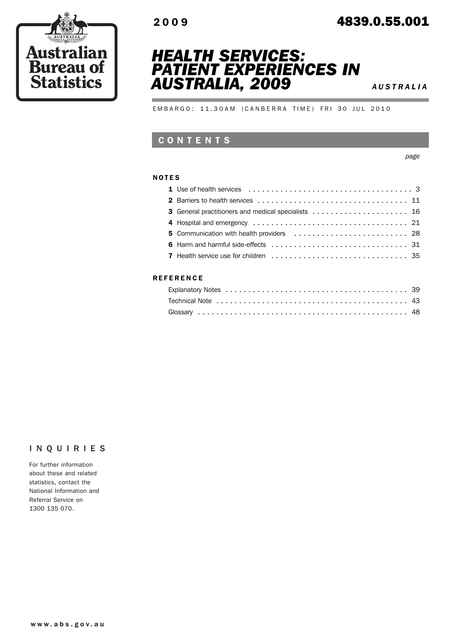

# 2009 4839.0.55.001





EMBARGO: 11.30AM (CANBERRA TIME) FRI 30 JUL 2010

## CONTENTS

*page*

#### NOTES

#### **REFERENCE**

#### INQUIRIES

For further information about these and related statistics, contact the National Information and Referral Service on 1300 135 070.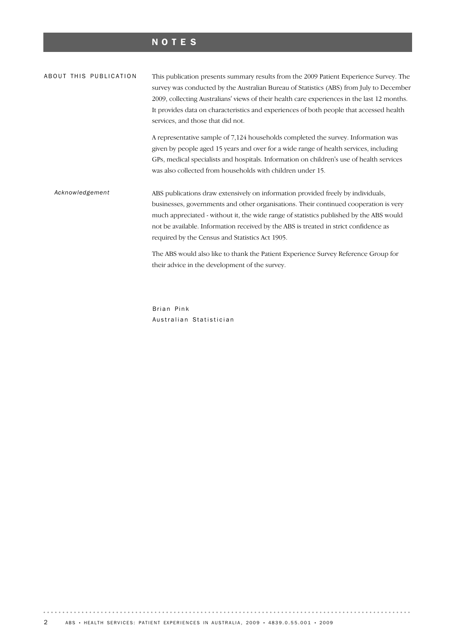# NOTES

| ABOUT THIS PUBLICATION | This publication presents summary results from the 2009 Patient Experience Survey. The<br>survey was conducted by the Australian Bureau of Statistics (ABS) from July to December<br>2009, collecting Australians' views of their health care experiences in the last 12 months.<br>It provides data on characteristics and experiences of both people that accessed health<br>services, and those that did not.                                                                                                                                      |
|------------------------|-------------------------------------------------------------------------------------------------------------------------------------------------------------------------------------------------------------------------------------------------------------------------------------------------------------------------------------------------------------------------------------------------------------------------------------------------------------------------------------------------------------------------------------------------------|
|                        | A representative sample of 7,124 households completed the survey. Information was<br>given by people aged 15 years and over for a wide range of health services, including<br>GPs, medical specialists and hospitals. Information on children's use of health services<br>was also collected from households with children under 15.                                                                                                                                                                                                                  |
| Acknowledgement        | ABS publications draw extensively on information provided freely by individuals,<br>businesses, governments and other organisations. Their continued cooperation is very<br>much appreciated - without it, the wide range of statistics published by the ABS would<br>not be available. Information received by the ABS is treated in strict confidence as<br>required by the Census and Statistics Act 1905.<br>The ABS would also like to thank the Patient Experience Survey Reference Group for<br>their advice in the development of the survey. |

Brian Pink Australian Statistician

 $\alpha$  ,  $\alpha$  ,  $\alpha$  ,  $\alpha$  ,  $\alpha$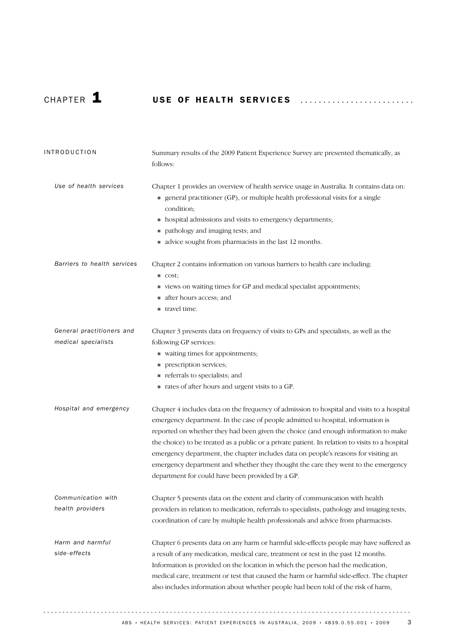. . . . . . . . . . . . . . . . . .

# CHAPTER 1 USE OF HEALTH SERVICES .........................

| <b>INTRODUCTION</b>                              | Summary results of the 2009 Patient Experience Survey are presented thematically, as<br>follows:                                                                                                                                                                                                                                                                                                                                                                                                                                                                                                        |
|--------------------------------------------------|---------------------------------------------------------------------------------------------------------------------------------------------------------------------------------------------------------------------------------------------------------------------------------------------------------------------------------------------------------------------------------------------------------------------------------------------------------------------------------------------------------------------------------------------------------------------------------------------------------|
| Use of health services                           | Chapter 1 provides an overview of health service usage in Australia. It contains data on:<br>general practitioner (GP), or multiple health professional visits for a single<br>condition;<br>• hospital admissions and visits to emergency departments;<br>pathology and imaging tests; and<br>ш<br>advice sought from pharmacists in the last 12 months.                                                                                                                                                                                                                                               |
| Barriers to health services                      | Chapter 2 contains information on various barriers to health care including:<br>$\blacksquare$ cost;<br>views on waiting times for GP and medical specialist appointments;<br>after hours access; and<br>■ travel time.                                                                                                                                                                                                                                                                                                                                                                                 |
| General practitioners and<br>medical specialists | Chapter 3 presents data on frequency of visits to GPs and specialists, as well as the<br>following GP services:<br>vaiting times for appointments;<br>prescription services;<br>referrals to specialists; and<br>a rates of after hours and urgent visits to a GP.                                                                                                                                                                                                                                                                                                                                      |
| Hospital and emergency                           | Chapter 4 includes data on the frequency of admission to hospital and visits to a hospital<br>emergency department. In the case of people admitted to hospital, information is<br>reported on whether they had been given the choice (and enough information to make<br>the choice) to be treated as a public or a private patient. In relation to visits to a hospital<br>emergency department, the chapter includes data on people's reasons for visiting an<br>emergency department and whether they thought the care they went to the emergency<br>department for could have been provided by a GP. |
| Communication with<br>health providers           | Chapter 5 presents data on the extent and clarity of communication with health<br>providers in relation to medication, referrals to specialists, pathology and imaging tests,<br>coordination of care by multiple health professionals and advice from pharmacists.                                                                                                                                                                                                                                                                                                                                     |
| Harm and harmful<br>side-effects                 | Chapter 6 presents data on any harm or harmful side-effects people may have suffered as<br>a result of any medication, medical care, treatment or test in the past 12 months.<br>Information is provided on the location in which the person had the medication,<br>medical care, treatment or test that caused the harm or harmful side-effect. The chapter<br>also includes information about whether people had been told of the risk of harm,                                                                                                                                                       |

 $\cdots$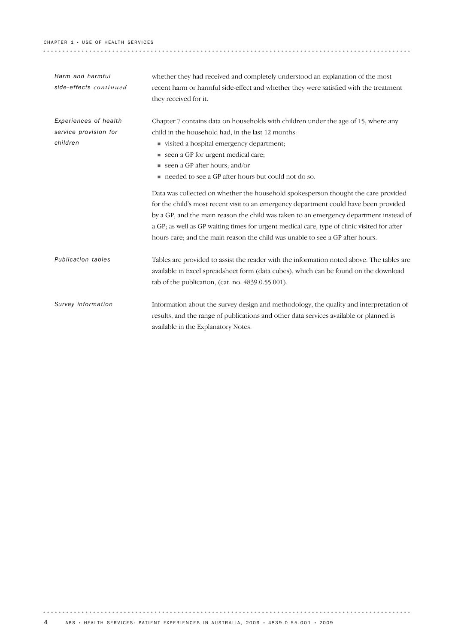#### CHAPTER  $1 \cdot$  USE OF HEALTH SERVICES

| Harm and harmful       | whether they had received and completely understood an explanation of the most              |
|------------------------|---------------------------------------------------------------------------------------------|
| side-effects continued | recent harm or harmful side-effect and whether they were satisfied with the treatment       |
|                        | they received for it.                                                                       |
|                        |                                                                                             |
| Experiences of health  | Chapter 7 contains data on households with children under the age of 15, where any          |
| service provision for  | child in the household had, in the last 12 months:                                          |
| children               | visited a hospital emergency department;                                                    |
|                        | seen a GP for urgent medical care;                                                          |
|                        | seen a GP after hours; and/or                                                               |
|                        | needed to see a GP after hours but could not do so.                                         |
|                        | Data was collected on whether the household spokesperson thought the care provided          |
|                        | for the child's most recent visit to an emergency department could have been provided       |
|                        | by a GP, and the main reason the child was taken to an emergency department instead of      |
|                        | a GP; as well as GP waiting times for urgent medical care, type of clinic visited for after |
|                        | hours care; and the main reason the child was unable to see a GP after hours.               |
| Publication tables     | Tables are provided to assist the reader with the information noted above. The tables are   |
|                        | available in Excel spreadsheet form (data cubes), which can be found on the download        |
|                        | tab of the publication, (cat. no. 4839.0.55.001).                                           |
|                        |                                                                                             |
| Survey information     | Information about the survey design and methodology, the quality and interpretation of      |
|                        | results, and the range of publications and other data services available or planned is      |
|                        | available in the Explanatory Notes.                                                         |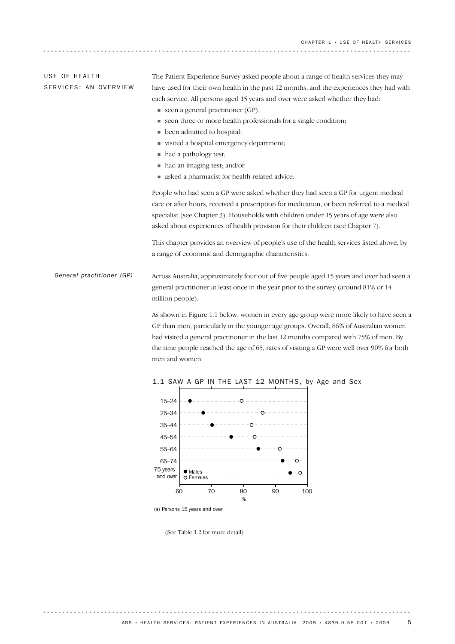CHAPTER 1 • USE OF HEALTH SERVICES

. . . . . . . . . . . . . . . . . . . .

| USE OF HEALTH         | The Patient Experience Survey asked people about a range of health services they may    |
|-----------------------|-----------------------------------------------------------------------------------------|
| SERVICES: AN OVERVIEW | have used for their own health in the past 12 months, and the experiences they had with |
|                       | each service. All persons aged 15 years and over were asked whether they had:           |
|                       | $\blacksquare$ seen a general practitioner (GP);                                        |
|                       | ■ seen three or more health professionals for a single condition;                       |
|                       | $\blacksquare$ been admitted to hospital;                                               |

- ! visited a hospital emergency department;
- had a pathology test;
- ! had an imaging test; and/or
- ! asked a pharmacist for health-related advice.

People who had seen a GP were asked whether they had seen a GP for urgent medical care or after hours, received a prescription for medication, or been referred to a medical specialist (see Chapter 3). Households with children under 15 years of age were also asked about experiences of health provision for their children (see Chapter 7).

This chapter provides an overview of people's use of the health services listed above, by a range of economic and demographic characteristics.

Across Australia, approximately four out of five people aged 15 years and over had seen a general practitioner at least once in the year prior to the survey (around 81% or 14 million people). *General practitioner (GP)*

> As shown in Figure 1.1 below, women in every age group were more likely to have seen a GP than men, particularly in the younger age groups. Overall, 86% of Australian women had visited a general practitioner in the last 12 months compared with 75% of men. By the time people reached the age of 65, rates of visiting a GP were well over 90% for both men and women.



#### 1.1 SAW A GP IN THE LAST 12 MONTHS, by Age and Sex

(a) Persons 15 years and over

(See Table 1.2 for more detail)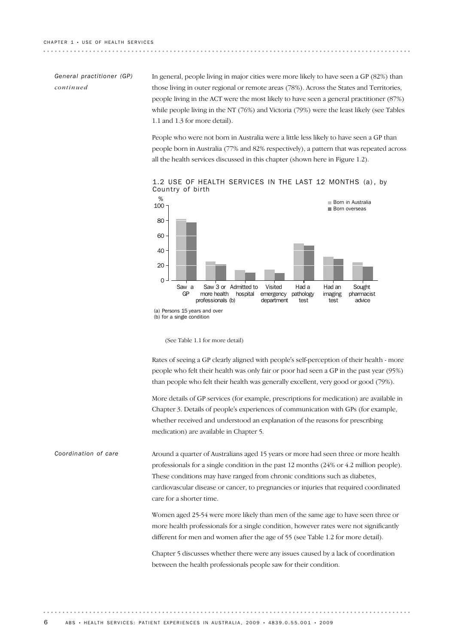### *General practitioner (GP) continued*

In general, people living in major cities were more likely to have seen a GP (82%) than those living in outer regional or remote areas (78%). Across the States and Territories, people living in the ACT were the most likely to have seen a general practitioner (87%) while people living in the NT (76%) and Victoria (79%) were the least likely (see Tables 1.1 and 1.3 for more detail).

People who were not born in Australia were a little less likely to have seen a GP than people born in Australia (77% and 82% respectively), a pattern that was repeated across all the health services discussed in this chapter (shown here in Figure 1.2).



1.2 USE OF HEALTH SERVICES IN THE LAST 12 MONTHS (a), by Country of birth

(See Table 1.1 for more detail)

Rates of seeing a GP clearly aligned with people's self-perception of their health - more people who felt their health was only fair or poor had seen a GP in the past year (95%) than people who felt their health was generally excellent, very good or good (79%).

More details of GP services (for example, prescriptions for medication) are available in Chapter 3. Details of people's experiences of communication with GPs (for example, whether received and understood an explanation of the reasons for prescribing medication) are available in Chapter 5.

Around a quarter of Australians aged 15 years or more had seen three or more health professionals for a single condition in the past 12 months (24% or 4.2 million people). These conditions may have ranged from chronic conditions such as diabetes, cardiovascular disease or cancer, to pregnancies or injuries that required coordinated care for a shorter time. *Coordination of care*

> Women aged 25-54 were more likely than men of the same age to have seen three or more health professionals for a single condition, however rates were not significantly different for men and women after the age of 55 (see Table 1.2 for more detail).

Chapter 5 discusses whether there were any issues caused by a lack of coordination between the health professionals people saw for their condition.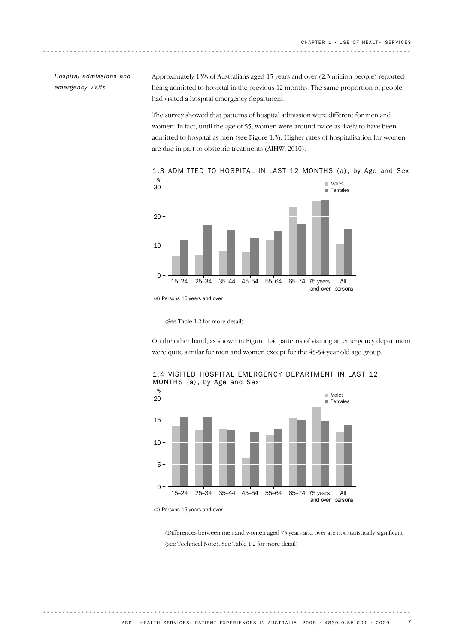*Hospital admissions and emergency visits*

Approximately 13% of Australians aged 15 years and over (2.3 million people) reported being admitted to hospital in the previous 12 months. The same proportion of people had visited a hospital emergency department.

The survey showed that patterns of hospital admission were different for men and women. In fact, until the age of 55, women were around twice as likely to have been admitted to hospital as men (see Figure 1.3). Higher rates of hospitalisation for women are due in part to obstetric treatments (AIHW, 2010).



1.3 ADMITTED TO HOSPITAL IN LAST 12 MONTHS (a), by Age and Sex

(See Table 1.2 for more detail)

On the other hand, as shown in Figure 1.4, patterns of visiting an emergency department were quite similar for men and women except for the 45-54 year old age group.



1.4 VISITED HOSPITAL EMERGENCY DEPARTMENT IN LAST 12 MONTHS (a), by Age and Sex

(a) Persons 15 years and over

(Differences between men and women aged 75 years and over are not statistically significant (see Technical Note). See Table 1.2 for more detail)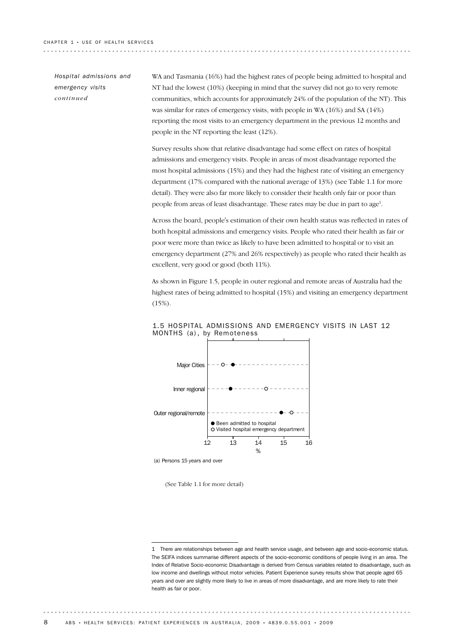*Hospital admissions and emergency visits continued*

WA and Tasmania (16%) had the highest rates of people being admitted to hospital and NT had the lowest (10%) (keeping in mind that the survey did not go to very remote communities, which accounts for approximately 24% of the population of the NT). This was similar for rates of emergency visits, with people in WA (16%) and SA (14%) reporting the most visits to an emergency department in the previous 12 months and people in the NT reporting the least (12%).

Survey results show that relative disadvantage had some effect on rates of hospital admissions and emergency visits. People in areas of most disadvantage reported the most hospital admissions (15%) and they had the highest rate of visiting an emergency department (17% compared with the national average of 13%) (see Table 1.1 for more detail). They were also far more likely to consider their health only fair or poor than people from areas of least disadvantage. These rates may be due in part to age<sup>1</sup>.

Across the board, people's estimation of their own health status was reflected in rates of both hospital admissions and emergency visits. People who rated their health as fair or poor were more than twice as likely to have been admitted to hospital or to visit an emergency department (27% and 26% respectively) as people who rated their health as excellent, very good or good (both 11%).

As shown in Figure 1.5, people in outer regional and remote areas of Australia had the highest rates of being admitted to hospital (15%) and visiting an emergency department (15%).



1.5 HOSPITAL ADMISSIONS AND EMERGENCY VISITS IN LAST 12 MONTHS (a), by Remoteness

(a) Persons 15 years and over

(See Table 1.1 for more detail)

<sup>1</sup> There are relationships between age and health service usage, and between age and socio-economic status. The SEIFA indices summarise different aspects of the socio-economic conditions of people living in an area. The Index of Relative Socio-economic Disadvantage is derived from Census variables related to disadvantage, such as low income and dwellings without motor vehicles. Patient Experience survey results show that people aged 65 years and over are slightly more likely to live in areas of more disadvantage, and are more likely to rate their health as fair or poor.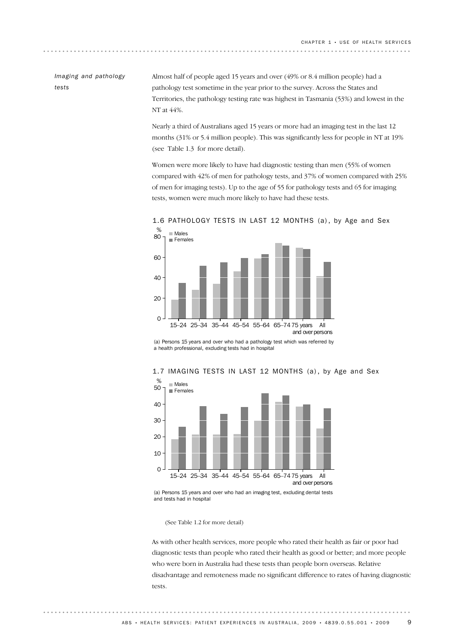. . . . . . . . . . . . . . . . . . . .

#### *Imaging and pathology tests*

Almost half of people aged 15 years and over (49% or 8.4 million people) had a pathology test sometime in the year prior to the survey. Across the States and Territories, the pathology testing rate was highest in Tasmania (53%) and lowest in the NT at 44%.

Nearly a third of Australians aged 15 years or more had an imaging test in the last 12 months (31% or 5.4 million people). This was significantly less for people in NT at 19% (see Table 1.3 for more detail).

Women were more likely to have had diagnostic testing than men (55% of women compared with 42% of men for pathology tests, and 37% of women compared with 25% of men for imaging tests). Up to the age of 55 for pathology tests and 65 for imaging tests, women were much more likely to have had these tests.



1.6 PATHOLOGY TESTS IN LAST 12 MONTHS (a), by Age and Sex

(a) Persons 15 years and over who had a pathology test which was referred by a health professional, excluding tests had in hospital



### 1.7 IMAGING TESTS IN LAST 12 MONTHS (a), by Age and Sex

(a) Persons 15 years and over who had an imaging test, excluding dental tests and tests had in hospital

(See Table 1.2 for more detail)

As with other health services, more people who rated their health as fair or poor had diagnostic tests than people who rated their health as good or better; and more people who were born in Australia had these tests than people born overseas. Relative disadvantage and remoteness made no significant difference to rates of having diagnostic tests.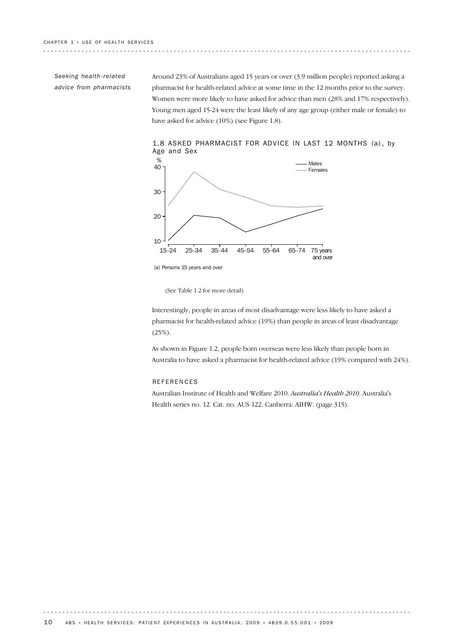*Seeking health-related advice from pharmacists* Around 23% of Australians aged 15 years or over (3.9 million people) reported asking a pharmacist for health-related advice at some time in the 12 months prior to the survey. Women were more likely to have asked for advice than men (28% and 17% respectively). Young men aged 15-24 were the least likely of any age group (either male or female) to have asked for advice (10%) (see Figure 1.8).



1.8 ASKED PHARMACIST FOR ADVICE IN LAST 12 MONTHS (a), by Age and Sex

(See Table 1.2 for more detail)

Interestingly, people in areas of most disadvantage were less likely to have asked a pharmacist for health-related advice (19%) than people in areas of least disadvantage (25%).

As shown in Figure 1.2, people born overseas were less likely than people born in Australia to have asked a pharmacist for health-related advice (19% compared with 24%).

. . . . . . . . .

#### **REFERENCES**

Australian Institute of Health and Welfare 2010. *Australia's Health 2010*. Australia's Health series no. 12. Cat. no. AUS 122. Canberra: AIHW. (page 315).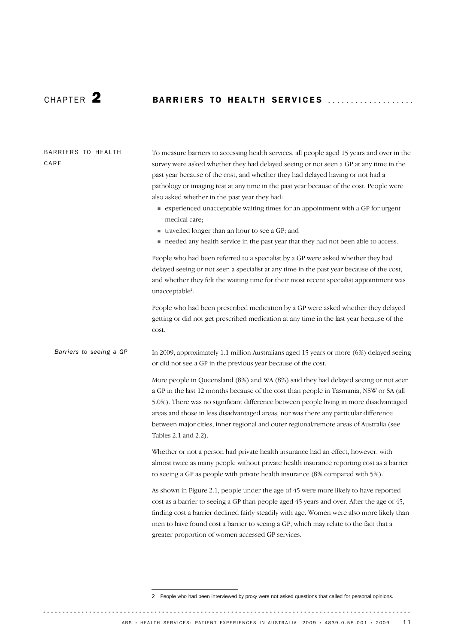. . . . . . . . . . . . . . . .

# CHAPTER 2 BARRIERS TO HEALTH SERVICES ....................

| BARRIERS TO HEALTH<br>CARE | To measure barriers to accessing health services, all people aged 15 years and over in the<br>survey were asked whether they had delayed seeing or not seen a GP at any time in the<br>past year because of the cost, and whether they had delayed having or not had a<br>pathology or imaging test at any time in the past year because of the cost. People were<br>also asked whether in the past year they had:<br>• experienced unacceptable waiting times for an appointment with a GP for urgent<br>medical care;<br>• travelled longer than an hour to see a GP; and<br>needed any health service in the past year that they had not been able to access.<br>People who had been referred to a specialist by a GP were asked whether they had<br>delayed seeing or not seen a specialist at any time in the past year because of the cost,<br>and whether they felt the waiting time for their most recent specialist appointment was<br>unacceptable <sup>2</sup> .<br>People who had been prescribed medication by a GP were asked whether they delayed |
|----------------------------|------------------------------------------------------------------------------------------------------------------------------------------------------------------------------------------------------------------------------------------------------------------------------------------------------------------------------------------------------------------------------------------------------------------------------------------------------------------------------------------------------------------------------------------------------------------------------------------------------------------------------------------------------------------------------------------------------------------------------------------------------------------------------------------------------------------------------------------------------------------------------------------------------------------------------------------------------------------------------------------------------------------------------------------------------------------|
|                            | getting or did not get prescribed medication at any time in the last year because of the<br>cost.                                                                                                                                                                                                                                                                                                                                                                                                                                                                                                                                                                                                                                                                                                                                                                                                                                                                                                                                                                |
| Barriers to seeing a GP    | In 2009, approximately 1.1 million Australians aged 15 years or more (6%) delayed seeing<br>or did not see a GP in the previous year because of the cost.                                                                                                                                                                                                                                                                                                                                                                                                                                                                                                                                                                                                                                                                                                                                                                                                                                                                                                        |
|                            | More people in Queensland (8%) and WA (8%) said they had delayed seeing or not seen<br>a GP in the last 12 months because of the cost than people in Tasmania, NSW or SA (all<br>5.0%). There was no significant difference between people living in more disadvantaged<br>areas and those in less disadvantaged areas, nor was there any particular difference<br>between major cities, inner regional and outer regional/remote areas of Australia (see<br>Tables 2.1 and 2.2).                                                                                                                                                                                                                                                                                                                                                                                                                                                                                                                                                                                |
|                            | Whether or not a person had private health insurance had an effect, however, with<br>almost twice as many people without private health insurance reporting cost as a barrier<br>to seeing a GP as people with private health insurance (8% compared with 5%).                                                                                                                                                                                                                                                                                                                                                                                                                                                                                                                                                                                                                                                                                                                                                                                                   |
|                            | As shown in Figure 2.1, people under the age of 45 were more likely to have reported<br>cost as a barrier to seeing a GP than people aged 45 years and over. After the age of 45,<br>finding cost a barrier declined fairly steadily with age. Women were also more likely than<br>men to have found cost a barrier to seeing a GP, which may relate to the fact that a<br>greater proportion of women accessed GP services.                                                                                                                                                                                                                                                                                                                                                                                                                                                                                                                                                                                                                                     |

<sup>2</sup> People who had been interviewed by proxy were not asked questions that called for personal opinions.

 $\cdots \cdots \cdots$ 

ABS • HEALTH SERVICES: PATIENT EXPERIENCES IN AUSTRALIA, 2009 • 4839.0.55.001 • 2009 11

. . . . . . . . . . . . . . . .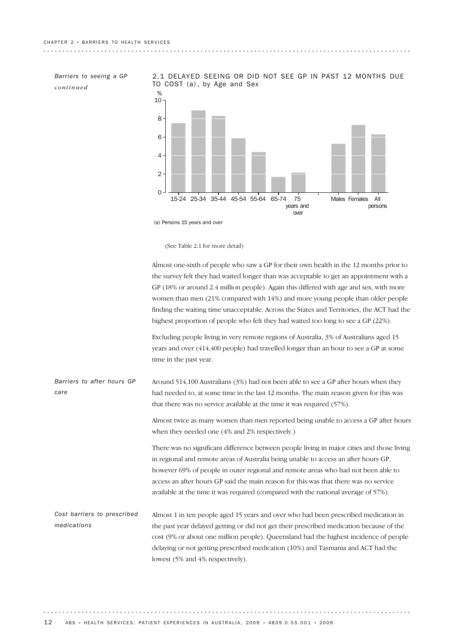*Barriers to seeing a GP continued*

2.1 DELAYED SEEING OR DID NOT SEE GP IN PAST 12 MONTHS DUE TO COST (a), by Age and Sex

<u>. . . . . . . . . . . . . . .</u>



(a) Persons 15 years and over

(See Table 2.1 for more detail)

Almost one-sixth of people who saw a GP for their own health in the 12 months prior to the survey felt they had waited longer than was acceptable to get an appointment with a GP (18% or around 2.4 million people). Again this differed with age and sex, with more women than men (21% compared with 14%) and more young people than older people finding the waiting time unacceptable. Across the States and Territories, the ACT had the highest proportion of people who felt they had waited too long to see a GP (22%).

Excluding people living in very remote regions of Australia, 3% of Australians aged 15 years and over (414,400 people) had travelled longer than an hour to see a GP at some time in the past year.

. . . . . . . . . .

| Barriers to after hours GP  | Around $514,100$ Australians (3%) had not been able to see a GP after hours when they      |
|-----------------------------|--------------------------------------------------------------------------------------------|
| care                        | had needed to, at some time in the last 12 months. The main reason given for this was      |
|                             | that there was no service available at the time it was required (57%).                     |
|                             | Almost twice as many women than men reported being unable to access a GP after hours       |
|                             | when they needed one (4% and 2% respectively.)                                             |
|                             | There was no significant difference between people living in major cities and those living |
|                             | in regional and remote areas of Australia being unable to access an after hours GP,        |
|                             | however 69% of people in outer regional and remote areas who had not been able to          |
|                             | access an after hours GP said the main reason for this was that there was no service       |
|                             | available at the time it was required (compared with the national average of 57%).         |
| Cost barriers to prescribed | Almost 1 in ten people aged 15 years and over who had been prescribed medication in        |
| medications                 | the past year delayed getting or did not get their prescribed medication because of the    |
|                             | cost (9% or about one million people). Queensland had the highest incidence of people      |
|                             | delaying or not getting prescribed medication (10%) and Tasmania and ACT had the           |
|                             | lowest (5% and 4% respectively).                                                           |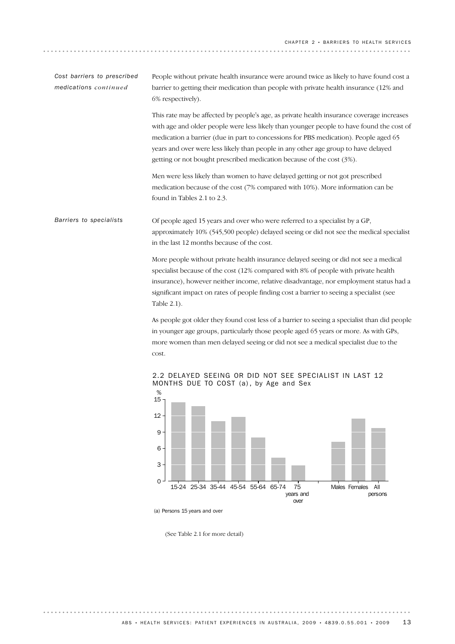| Cost barriers to prescribed<br>medications continued | People without private health insurance were around twice as likely to have found cost a<br>barrier to getting their medication than people with private health insurance (12% and<br>6% respectively).                                                                                                                                                                                                                                                                                                                                                                                  |
|------------------------------------------------------|------------------------------------------------------------------------------------------------------------------------------------------------------------------------------------------------------------------------------------------------------------------------------------------------------------------------------------------------------------------------------------------------------------------------------------------------------------------------------------------------------------------------------------------------------------------------------------------|
|                                                      | This rate may be affected by people's age, as private health insurance coverage increases<br>with age and older people were less likely than younger people to have found the cost of<br>medication a barrier (due in part to concessions for PBS medication). People aged 65<br>years and over were less likely than people in any other age group to have delayed<br>getting or not bought prescribed medication because of the cost (3%).                                                                                                                                             |
|                                                      | Men were less likely than women to have delayed getting or not got prescribed<br>medication because of the cost (7% compared with 10%). More information can be<br>found in Tables 2.1 to 2.3.                                                                                                                                                                                                                                                                                                                                                                                           |
| Barriers to specialists                              | Of people aged 15 years and over who were referred to a specialist by a GP,<br>approximately 10% (545,500 people) delayed seeing or did not see the medical specialist<br>in the last 12 months because of the cost.<br>More people without private health insurance delayed seeing or did not see a medical<br>specialist because of the cost (12% compared with 8% of people with private health<br>insurance), however neither income, relative disadvantage, nor employment status had a<br>significant impact on rates of people finding cost a barrier to seeing a specialist (see |
|                                                      | Table 2.1).<br>As people got older they found cost less of a barrier to seeing a specialist than did people<br>in younger age groups, particularly those people aged 65 years or more. As with GPs,<br>more women than men delayed seeing or did not see a medical specialist due to the<br>cost.                                                                                                                                                                                                                                                                                        |
|                                                      | 2.2 DELAYED SEEING OR DID NOT SEE SPECIALIST IN LAST 12                                                                                                                                                                                                                                                                                                                                                                                                                                                                                                                                  |



. . . . . . . . . . . . . . . . . .

(See Table 2.1 for more detail)

. . . . . . .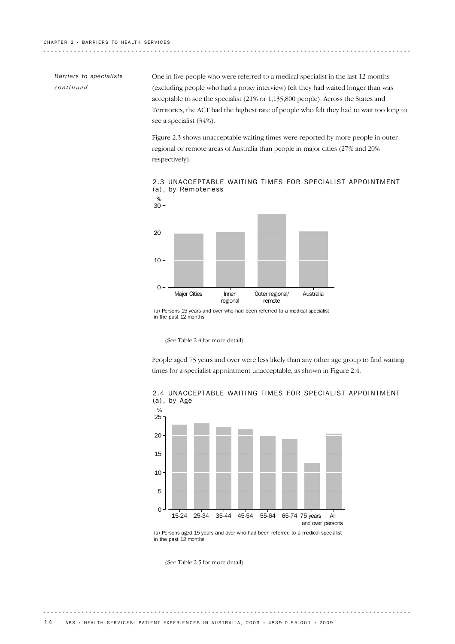### *Barriers to specialists continued*

One in five people who were referred to a medical specialist in the last 12 months (excluding people who had a proxy interview) felt they had waited longer than was acceptable to see the specialist (21% or 1,135,800 people). Across the States and Territories, the ACT had the highest rate of people who felt they had to wait too long to see a specialist (34%).

Figure 2.3 shows unacceptable waiting times were reported by more people in outer regional or remote areas of Australia than people in major cities (27% and 20% respectively).



2.3 UNACCEPTABLE WAITING TIMES FOR SPECIALIST APPOINTMENT (a) , by Remoteness

(See Table 2.4 for more detail)

People aged 75 years and over were less likely than any other age group to find waiting times for a specialist appointment unacceptable, as shown in Figure 2.4.



2.4 UNACCEPTABLE WAITING TIMES FOR SPECIALIST APPOINTMENT (a) , by Age

. . . . . . . . .

(a) Persons aged 15 years and over who had been referred to a medical specialist in the past 12 months

(See Table 2.5 for more detail)

<sup>(</sup>a) Persons 15 years and over who had been referred to a medical specialist in the past 12 months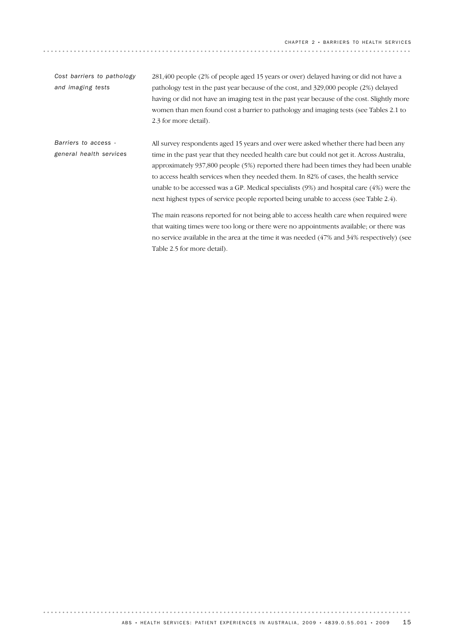281,400 people (2% of people aged 15 years or over) delayed having or did not have a pathology test in the past year because of the cost, and 329,000 people (2%) delayed having or did not have an imaging test in the past year because of the cost. Slightly more women than men found cost a barrier to pathology and imaging tests (see Tables 2.1 to 2.3 for more detail). *Cost barriers to pathology and imaging tests*

All survey respondents aged 15 years and over were asked whether there had been any time in the past year that they needed health care but could not get it. Across Australia, approximately 937,800 people (5%) reported there had been times they had been unable to access health services when they needed them. In 82% of cases, the health service unable to be accessed was a GP. Medical specialists (9%) and hospital care (4%) were the next highest types of service people reported being unable to access (see Table 2.4). The main reasons reported for not being able to access health care when required were *Barriers to access general health services*

that waiting times were too long or there were no appointments available; or there was no service available in the area at the time it was needed (47% and 34% respectively) (see Table 2.5 for more detail).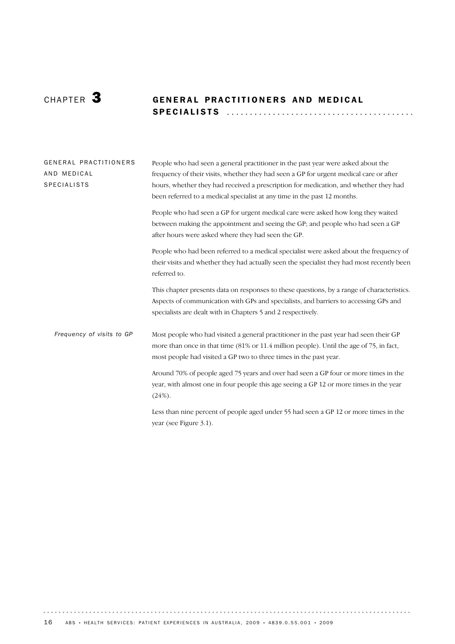# CHAPTER 3 **GENERAL PRACTITIONERS AND MEDICAL** SPECIALISTS ........................................ .

| GENERAL PRACTITIONERS<br>AND MEDICAL<br><b>SPECIALISTS</b> | People who had seen a general practitioner in the past year were asked about the<br>frequency of their visits, whether they had seen a GP for urgent medical care or after<br>hours, whether they had received a prescription for medication, and whether they had<br>been referred to a medical specialist at any time in the past 12 months. |
|------------------------------------------------------------|------------------------------------------------------------------------------------------------------------------------------------------------------------------------------------------------------------------------------------------------------------------------------------------------------------------------------------------------|
|                                                            | People who had seen a GP for urgent medical care were asked how long they waited<br>between making the appointment and seeing the GP; and people who had seen a GP<br>after hours were asked where they had seen the GP.                                                                                                                       |
|                                                            | People who had been referred to a medical specialist were asked about the frequency of<br>their visits and whether they had actually seen the specialist they had most recently been<br>referred to.                                                                                                                                           |
|                                                            | This chapter presents data on responses to these questions, by a range of characteristics.<br>Aspects of communication with GPs and specialists, and barriers to accessing GPs and<br>specialists are dealt with in Chapters 5 and 2 respectively.                                                                                             |
| Frequency of visits to GP                                  | Most people who had visited a general practitioner in the past year had seen their GP<br>more than once in that time (81% or 11.4 million people). Until the age of 75, in fact,<br>most people had visited a GP two to three times in the past year.                                                                                          |
|                                                            | Around 70% of people aged 75 years and over had seen a GP four or more times in the<br>year, with almost one in four people this age seeing a GP 12 or more times in the year<br>$(24%)$ .                                                                                                                                                     |
|                                                            | Less than nine percent of people aged under 55 had seen a GP 12 or more times in the<br>year (see Figure 3.1).                                                                                                                                                                                                                                 |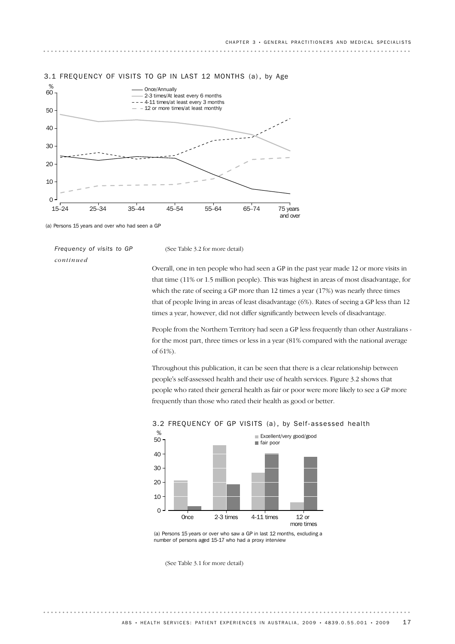

#### 3.1 FREQUENCY OF VISITS TO GP IN LAST 12 MONTHS (a), by Age

(a) Persons 15 years and over who had seen a GP

*Frequency of visits to GP continued*

(See Table 3.2 for more detail)

Overall, one in ten people who had seen a GP in the past year made 12 or more visits in that time (11% or 1.5 million people). This was highest in areas of most disadvantage, for which the rate of seeing a GP more than 12 times a year (17%) was nearly three times that of people living in areas of least disadvantage (6%). Rates of seeing a GP less than 12 times a year, however, did not differ significantly between levels of disadvantage.

People from the Northern Territory had seen a GP less frequently than other Australians for the most part, three times or less in a year (81% compared with the national average of 61%).

Throughout this publication, it can be seen that there is a clear relationship between people's self-assessed health and their use of health services. Figure 3.2 shows that people who rated their general health as fair or poor were more likely to see a GP more frequently than those who rated their health as good or better.



#### 3.2 FREQUENCY OF GP VISITS (a), by Self-assessed health

(a) Persons 15 years or over who saw a GP in last 12 months, excluding a number of persons aged 15-17 who had a proxy interview

(See Table 3.1 for more detail)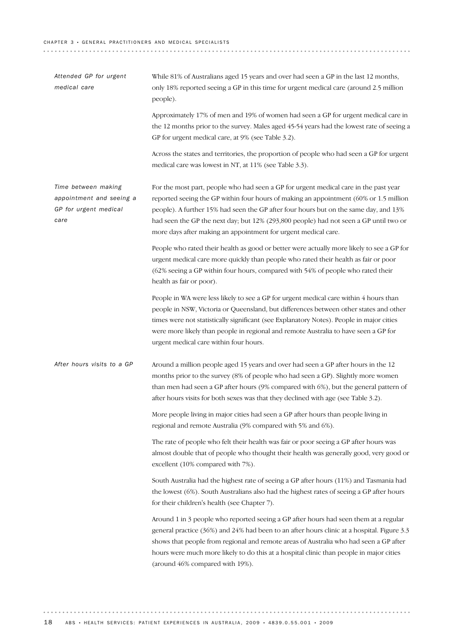| Attended GP for urgent<br>medical care                                           | While 81% of Australians aged 15 years and over had seen a GP in the last 12 months,<br>only 18% reported seeing a GP in this time for urgent medical care (around 2.5 million<br>people).                                                                                                                                                                                                                                       |
|----------------------------------------------------------------------------------|----------------------------------------------------------------------------------------------------------------------------------------------------------------------------------------------------------------------------------------------------------------------------------------------------------------------------------------------------------------------------------------------------------------------------------|
|                                                                                  | Approximately 17% of men and 19% of women had seen a GP for urgent medical care in<br>the 12 months prior to the survey. Males aged 45-54 years had the lowest rate of seeing a<br>GP for urgent medical care, at 9% (see Table 3.2).                                                                                                                                                                                            |
|                                                                                  | Across the states and territories, the proportion of people who had seen a GP for urgent<br>medical care was lowest in NT, at 11% (see Table 3.3).                                                                                                                                                                                                                                                                               |
| Time between making<br>appointment and seeing a<br>GP for urgent medical<br>care | For the most part, people who had seen a GP for urgent medical care in the past year<br>reported seeing the GP within four hours of making an appointment (60% or 1.5 million<br>people). A further 15% had seen the GP after four hours but on the same day, and 13%<br>had seen the GP the next day; but 12% (293,800 people) had not seen a GP until two or<br>more days after making an appointment for urgent medical care. |
|                                                                                  | People who rated their health as good or better were actually more likely to see a GP for<br>urgent medical care more quickly than people who rated their health as fair or poor<br>(62% seeing a GP within four hours, compared with 54% of people who rated their<br>health as fair or poor).                                                                                                                                  |
|                                                                                  | People in WA were less likely to see a GP for urgent medical care within 4 hours than<br>people in NSW, Victoria or Queensland, but differences between other states and other<br>times were not statistically significant (see Explanatory Notes). People in major cities<br>were more likely than people in regional and remote Australia to have seen a GP for<br>urgent medical care within four hours.                      |
| After hours visits to a GP                                                       | Around a million people aged 15 years and over had seen a GP after hours in the 12<br>months prior to the survey (8% of people who had seen a GP). Slightly more women<br>than men had seen a GP after hours (9% compared with 6%), but the general pattern of<br>after hours visits for both sexes was that they declined with age (see Table 3.2).                                                                             |
|                                                                                  | More people living in major cities had seen a GP after hours than people living in<br>regional and remote Australia (9% compared with 5% and 6%).                                                                                                                                                                                                                                                                                |
|                                                                                  | The rate of people who felt their health was fair or poor seeing a GP after hours was<br>almost double that of people who thought their health was generally good, very good or<br>excellent (10% compared with 7%).                                                                                                                                                                                                             |
|                                                                                  | South Australia had the highest rate of seeing a GP after hours (11%) and Tasmania had<br>the lowest (6%). South Australians also had the highest rates of seeing a GP after hours<br>for their children's health (see Chapter 7).                                                                                                                                                                                               |
|                                                                                  | Around 1 in 3 people who reported seeing a GP after hours had seen them at a regular<br>general practice (36%) and 24% had been to an after hours clinic at a hospital. Figure 3.3<br>shows that people from regional and remote areas of Australia who had seen a GP after<br>hours were much more likely to do this at a hospital clinic than people in major cities<br>(around 46% compared with 19%).                        |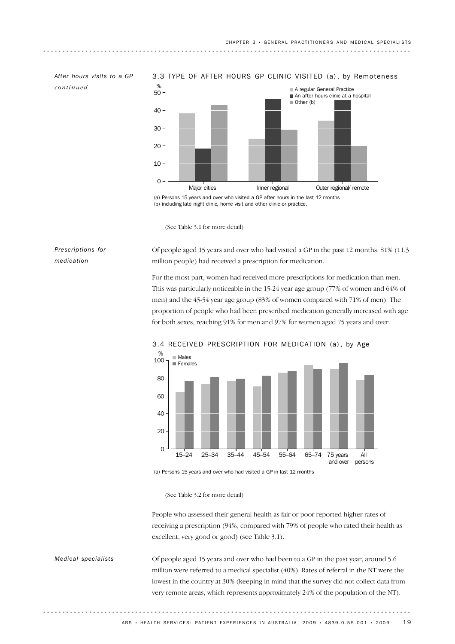*continued*

*After hours visits to a GP* 3.3 TYPE OF AFTER HOURS GP CLINIC VISITED (a) , by Remoteness



(a) Persons 15 years and over who visited a GP after hours in the last 12 months (b) including late night clinic, home visit and other clinic or practice.

(See Table 3.1 for more detail)

#### *Prescriptions for medication*

Of people aged 15 years and over who had visited a GP in the past 12 months, 81% (11.3 million people) had received a prescription for medication.

For the most part, women had received more prescriptions for medication than men. This was particularly noticeable in the 15-24 year age group (77% of women and 64% of men) and the 45-54 year age group (83% of women compared with 71% of men). The proportion of people who had been prescribed medication generally increased with age for both sexes, reaching 91% for men and 97% for women aged 75 years and over.



#### 3.4 RECEIVED PRESCRIPTION FOR MEDICATION (a), by Age

(a) Persons 15 years and over who had visited a GP in last 12 months

People who assessed their general health as fair or poor reported higher rates of receiving a prescription (94%, compared with 79% of people who rated their health as excellent, very good or good) (see Table 3.1).

Of people aged 15 years and over who had been to a GP in the past year, around 5.6 million were referred to a medical specialist (40%). Rates of referral in the NT were the lowest in the country at 30% (keeping in mind that the survey did not collect data from very remote areas, which represents approximately 24% of the population of the NT). *Medical specialists*

<sup>(</sup>See Table 3.2 for more detail)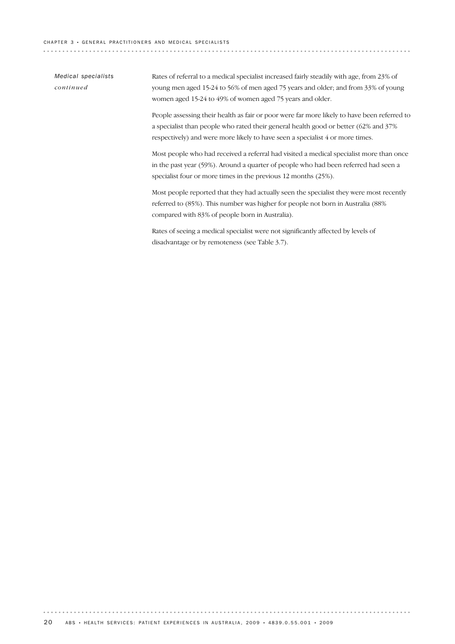| Medical specialists<br>continued | Rates of referral to a medical specialist increased fairly steadily with age, from 23% of<br>young men aged 15-24 to 56% of men aged 75 years and older; and from 33% of young<br>women aged 15-24 to 49% of women aged 75 years and older.                          |
|----------------------------------|----------------------------------------------------------------------------------------------------------------------------------------------------------------------------------------------------------------------------------------------------------------------|
|                                  | People assessing their health as fair or poor were far more likely to have been referred to<br>a specialist than people who rated their general health good or better (62% and 37%)<br>respectively) and were more likely to have seen a specialist 4 or more times. |
|                                  | Most people who had received a referral had visited a medical specialist more than once<br>in the past year (59%). Around a quarter of people who had been referred had seen a<br>specialist four or more times in the previous 12 months (25%).                     |
|                                  | Most people reported that they had actually seen the specialist they were most recently<br>referred to $(85%)$ . This number was higher for people not born in Australia (88%)<br>compared with 83% of people born in Australia).                                    |
|                                  | Rates of seeing a medical specialist were not significantly affected by levels of<br>disadvantage or by remoteness (see Table 3.7).                                                                                                                                  |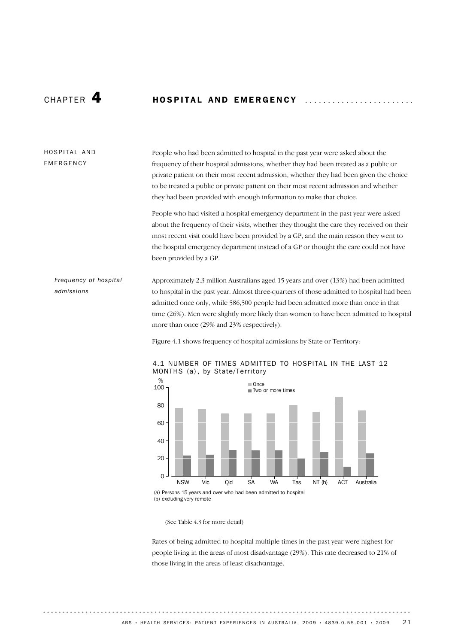# CHAPTER **4** HOSPITAL AND EMERGENCY

### HOSPITAL AND EMERGENCY

People who had been admitted to hospital in the past year were asked about the frequency of their hospital admissions, whether they had been treated as a public or private patient on their most recent admission, whether they had been given the choice to be treated a public or private patient on their most recent admission and whether they had been provided with enough information to make that choice.

People who had visited a hospital emergency department in the past year were asked about the frequency of their visits, whether they thought the care they received on their most recent visit could have been provided by a GP, and the main reason they went to the hospital emergency department instead of a GP or thought the care could not have been provided by a GP.

### *Frequency of hospital admissions*

Approximately 2.3 million Australians aged 15 years and over (13%) had been admitted to hospital in the past year. Almost three-quarters of those admitted to hospital had been admitted once only, while 586,500 people had been admitted more than once in that time (26%). Men were slightly more likely than women to have been admitted to hospital more than once (29% and 23% respectively).

Figure 4.1 shows frequency of hospital admissions by State or Territory:



#### 4.1 NUMBER OF TIMES ADMITTED TO HOSPITAL IN THE LAST 12 MONTHS (a), by State/Territory

(See Table 4.3 for more detail)

Rates of being admitted to hospital multiple times in the past year were highest for people living in the areas of most disadvantage (29%). This rate decreased to 21% of those living in the areas of least disadvantage.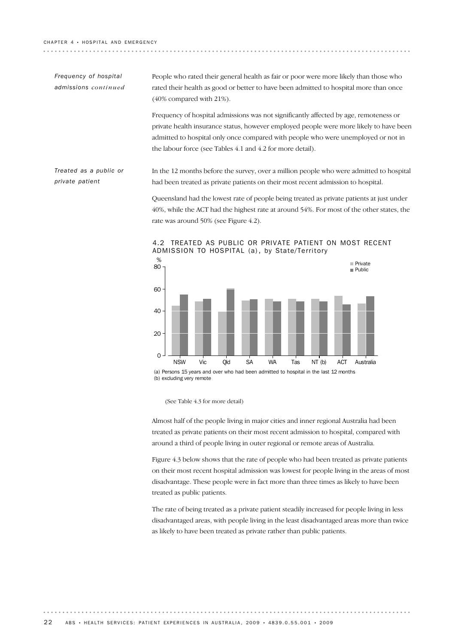. . . . . . . . . . . . . . . . . . .

*Frequency of hospital admissions continued* People who rated their general health as fair or poor were more likely than those who rated their health as good or better to have been admitted to hospital more than once (40% compared with 21%).

Frequency of hospital admissions was not significantly affected by age, remoteness or private health insurance status, however employed people were more likely to have been admitted to hospital only once compared with people who were unemployed or not in the labour force (see Tables 4.1 and 4.2 for more detail).

In the 12 months before the survey, over a million people who were admitted to hospital had been treated as private patients on their most recent admission to hospital. *Treated as a public or private patient*

> Queensland had the lowest rate of people being treated as private patients at just under 40%, while the ACT had the highest rate at around 54%. For most of the other states, the rate was around 50% (see Figure 4.2).



#### 4.2 TREATED AS PUBLIC OR PRIVATE PATIENT ON MOST RECENT ADMISSION TO HOSPITAL (a), by State/Territory

Almost half of the people living in major cities and inner regional Australia had been treated as private patients on their most recent admission to hospital, compared with around a third of people living in outer regional or remote areas of Australia.

Figure 4.3 below shows that the rate of people who had been treated as private patients on their most recent hospital admission was lowest for people living in the areas of most disadvantage. These people were in fact more than three times as likely to have been treated as public patients.

The rate of being treated as a private patient steadily increased for people living in less disadvantaged areas, with people living in the least disadvantaged areas more than twice as likely to have been treated as private rather than public patients.

<sup>(</sup>See Table 4.3 for more detail)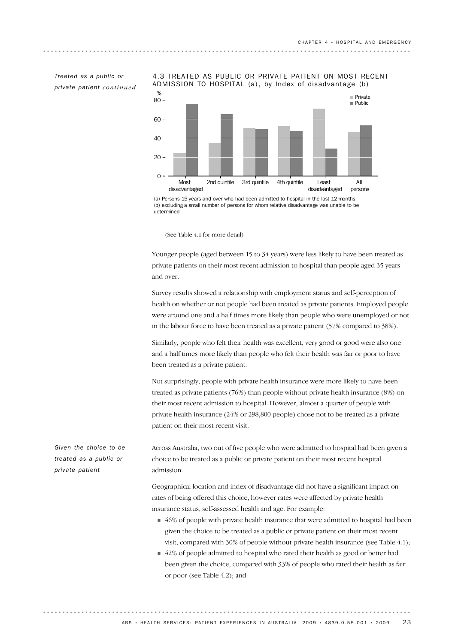*Treated as a public or private patient continued* 4.3 TREATED AS PUBLIC OR PRIVATE PATIENT ON MOST RECENT ADMISSION TO HOSPITAL (a), by Index of disadvantage (b)



(a) Persons 15 years and over who had been admitted to hospital in the last 12 months (b) excluding a small number of persons for whom relative disadvantage was unable to be determined

(See Table 4.1 for more detail)

Younger people (aged between 15 to 34 years) were less likely to have been treated as private patients on their most recent admission to hospital than people aged 35 years and over.

Survey results showed a relationship with employment status and self-perception of health on whether or not people had been treated as private patients. Employed people were around one and a half times more likely than people who were unemployed or not in the labour force to have been treated as a private patient (57% compared to 38%).

Similarly, people who felt their health was excellent, very good or good were also one and a half times more likely than people who felt their health was fair or poor to have been treated as a private patient.

Not surprisingly, people with private health insurance were more likely to have been treated as private patients (76%) than people without private health insurance (8%) on their most recent admission to hospital. However, almost a quarter of people with private health insurance (24% or 298,800 people) chose not to be treated as a private patient on their most recent visit.

Across Australia, two out of five people who were admitted to hospital had been given a choice to be treated as a public or private patient on their most recent hospital admission.

Geographical location and index of disadvantage did not have a significant impact on rates of being offered this choice, however rates were affected by private health insurance status, self-assessed health and age. For example:

- 46% of people with private health insurance that were admitted to hospital had been given the choice to be treated as a public or private patient on their most recent visit, compared with 30% of people without private health insurance (see Table 4.1);
- 42% of people admitted to hospital who rated their health as good or better had been given the choice, compared with 33% of people who rated their health as fair or poor (see Table 4.2); and

*Given the choice to be treated as a public or private patient*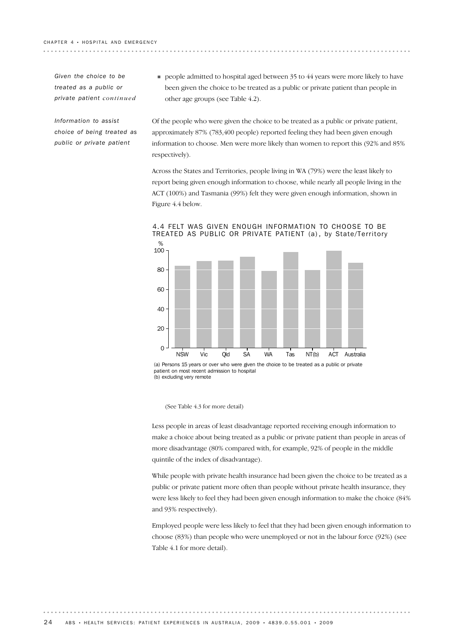. . . . . . . . . . . . . . . . . . .

*Given the choice to be treated as a public or private patient continued*

*Information to assist choice of being treated as public or private patient*

**PEOPE** admitted to hospital aged between 35 to 44 years were more likely to have been given the choice to be treated as a public or private patient than people in other age groups (see Table 4.2).

Of the people who were given the choice to be treated as a public or private patient, approximately 87% (783,400 people) reported feeling they had been given enough information to choose. Men were more likely than women to report this (92% and 85% respectively).

Across the States and Territories, people living in WA (79%) were the least likely to report being given enough information to choose, while nearly all people living in the ACT (100%) and Tasmania (99%) felt they were given enough information, shown in Figure 4.4 below.



4.4 FELT WAS GIVEN ENOUGH INFORMATION TO CHOOSE TO BE TREATED AS PUBLIC OR PRIVATE PATIENT (a), by State/Territory

(a) Persons 15 years or over who were given the choice to be treated as a public or private patient on most recent admission to hospital (b) excluding very remote

(See Table 4.3 for more detail)

Less people in areas of least disadvantage reported receiving enough information to make a choice about being treated as a public or private patient than people in areas of more disadvantage (80% compared with, for example, 92% of people in the middle quintile of the index of disadvantage).

While people with private health insurance had been given the choice to be treated as a public or private patient more often than people without private health insurance, they were less likely to feel they had been given enough information to make the choice (84% and 93% respectively).

Employed people were less likely to feel that they had been given enough information to choose (83%) than people who were unemployed or not in the labour force (92%) (see Table 4.1 for more detail).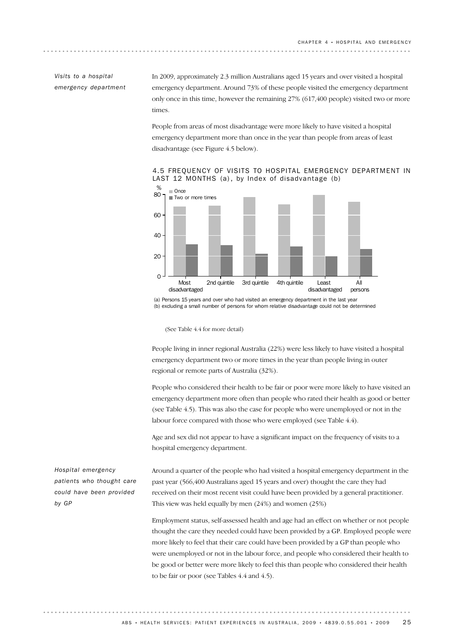### *Visits to a hospital emergency department*

In 2009, approximately 2.3 million Australians aged 15 years and over visited a hospital emergency department. Around 73% of these people visited the emergency department only once in this time, however the remaining 27% (617,400 people) visited two or more times.

People from areas of most disadvantage were more likely to have visited a hospital emergency department more than once in the year than people from areas of least disadvantage (see Figure 4.5 below).





(a) Persons 15 years and over who had visited an emergency department in the last year (b) excluding a small number of persons for whom relative disadvantage could not be determined

(See Table 4.4 for more detail)

People living in inner regional Australia (22%) were less likely to have visited a hospital emergency department two or more times in the year than people living in outer regional or remote parts of Australia (32%).

People who considered their health to be fair or poor were more likely to have visited an emergency department more often than people who rated their health as good or better (see Table 4.5). This was also the case for people who were unemployed or not in the labour force compared with those who were employed (see Table 4.4).

Age and sex did not appear to have a significant impact on the frequency of visits to a hospital emergency department.

Around a quarter of the people who had visited a hospital emergency department in the past year (566,400 Australians aged 15 years and over) thought the care they had received on their most recent visit could have been provided by a general practitioner. This view was held equally by men (24%) and women (25%)

Employment status, self-assessed health and age had an effect on whether or not people thought the care they needed could have been provided by a GP. Employed people were more likely to feel that their care could have been provided by a GP than people who were unemployed or not in the labour force, and people who considered their health to be good or better were more likely to feel this than people who considered their health to be fair or poor (see Tables 4.4 and 4.5).

*Hospital emergency patients who thought care could have been provided by GP*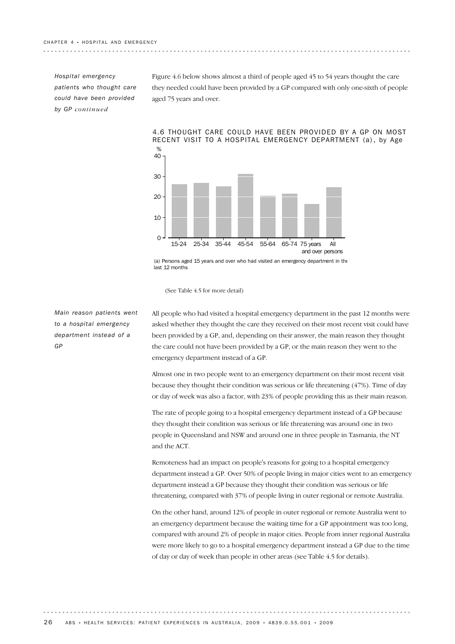*Hospital emergency patients who thought care could have been provided by GP continued*

Figure 4.6 below shows almost a third of people aged 45 to 54 years thought the care they needed could have been provided by a GP compared with only one-sixth of people aged 75 years and over.



#### 4.6 THOUGHT CARE COULD HAVE BEEN PROVIDED BY A GP ON MOST RECENT VISIT TO A HOSPITAL EMERGENCY DEPARTMENT (a) , by Age

(a) Persons aged 15 years and over who had visited an emergency department in the last 12 months

#### (See Table 4.5 for more detail)

*Main reason patients went to a hospital emergency department instead of a GP*

All people who had visited a hospital emergency department in the past 12 months were asked whether they thought the care they received on their most recent visit could have been provided by a GP, and, depending on their answer, the main reason they thought the care could not have been provided by a GP, or the main reason they went to the emergency department instead of a GP.

Almost one in two people went to an emergency department on their most recent visit because they thought their condition was serious or life threatening (47%). Time of day or day of week was also a factor, with 23% of people providing this as their main reason.

The rate of people going to a hospital emergency department instead of a GP because they thought their condition was serious or life threatening was around one in two people in Queensland and NSW and around one in three people in Tasmania, the NT and the ACT.

Remoteness had an impact on people's reasons for going to a hospital emergency department instead a GP. Over 50% of people living in major cities went to an emergency department instead a GP because they thought their condition was serious or life threatening, compared with 37% of people living in outer regional or remote Australia.

On the other hand, around 12% of people in outer regional or remote Australia went to an emergency department because the waiting time for a GP appointment was too long, compared with around 2% of people in major cities. People from inner regional Australia were more likely to go to a hospital emergency department instead a GP due to the time of day or day of week than people in other areas (see Table 4.5 for details).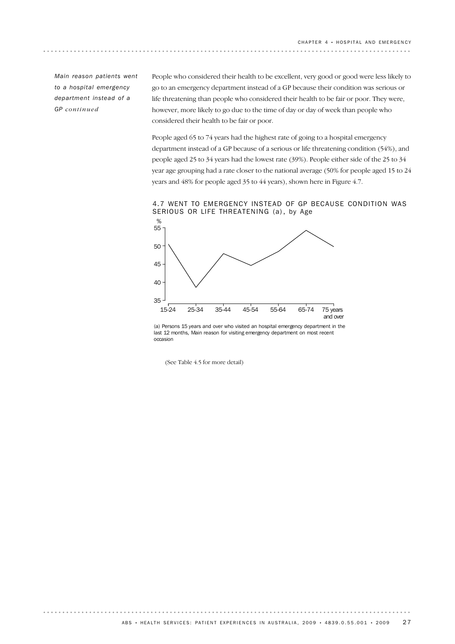*Main reason patients went to a hospital emergency department instead of a GP continued*

People who considered their health to be excellent, very good or good were less likely to go to an emergency department instead of a GP because their condition was serious or life threatening than people who considered their health to be fair or poor. They were, however, more likely to go due to the time of day or day of week than people who considered their health to be fair or poor.

People aged 65 to 74 years had the highest rate of going to a hospital emergency department instead of a GP because of a serious or life threatening condition (54%), and people aged 25 to 34 years had the lowest rate (39%). People either side of the 25 to 34 year age grouping had a rate closer to the national average (50% for people aged 15 to 24 years and 48% for people aged 35 to 44 years), shown here in Figure 4.7.

4.7 WENT TO EMERGENCY INSTEAD OF GP BECAUSE CONDITION WAS SERIOUS OR LIFE THREATENING (a), by Age



(a) Persons 15 years and over who visited an hospital emergency department in the last 12 months, Main reason for visiting emergency department on most recent occasion

(See Table 4.5 for more detail)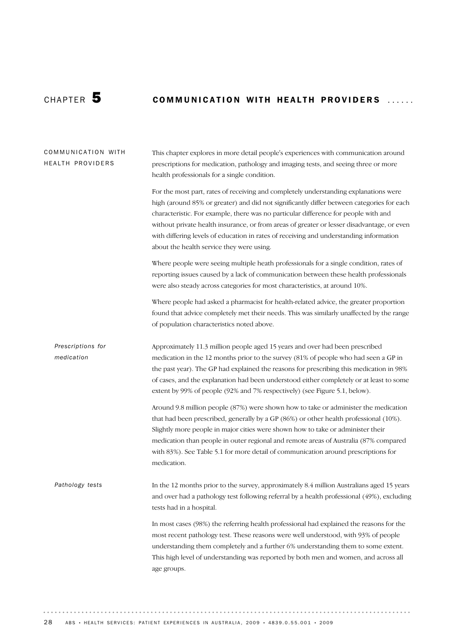$\alpha$  is a set  $\alpha$ 

# CHAPTER 5 COMMUNICATION WITH HEALTH PROVIDERS ......

| COMMUNICATION WITH<br>HEALTH PROVIDERS | This chapter explores in more detail people's experiences with communication around<br>prescriptions for medication, pathology and imaging tests, and seeing three or more<br>health professionals for a single condition.                                                                                                                                                                                                                                                                                    |
|----------------------------------------|---------------------------------------------------------------------------------------------------------------------------------------------------------------------------------------------------------------------------------------------------------------------------------------------------------------------------------------------------------------------------------------------------------------------------------------------------------------------------------------------------------------|
|                                        | For the most part, rates of receiving and completely understanding explanations were<br>high (around 85% or greater) and did not significantly differ between categories for each<br>characteristic. For example, there was no particular difference for people with and<br>without private health insurance, or from areas of greater or lesser disadvantage, or even<br>with differing levels of education in rates of receiving and understanding information<br>about the health service they were using. |
|                                        | Where people were seeing multiple heath professionals for a single condition, rates of<br>reporting issues caused by a lack of communication between these health professionals<br>were also steady across categories for most characteristics, at around 10%.                                                                                                                                                                                                                                                |
|                                        | Where people had asked a pharmacist for health-related advice, the greater proportion<br>found that advice completely met their needs. This was similarly unaffected by the range<br>of population characteristics noted above.                                                                                                                                                                                                                                                                               |
| Prescriptions for<br>medication        | Approximately 11.3 million people aged 15 years and over had been prescribed<br>medication in the 12 months prior to the survey (81% of people who had seen a GP in<br>the past year). The GP had explained the reasons for prescribing this medication in 98%<br>of cases, and the explanation had been understood either completely or at least to some<br>extent by 99% of people (92% and 7% respectively) (see Figure 5.1, below).                                                                       |
|                                        | Around 9.8 million people (87%) were shown how to take or administer the medication<br>that had been prescribed, generally by a GP (86%) or other health professional (10%).<br>Slightly more people in major cities were shown how to take or administer their<br>medication than people in outer regional and remote areas of Australia (87% compared<br>with 83%). See Table 5.1 for more detail of communication around prescriptions for<br>medication.                                                  |
| Pathology tests                        | In the 12 months prior to the survey, approximately 8.4 million Australians aged 15 years<br>and over had a pathology test following referral by a health professional (49%), excluding<br>tests had in a hospital.                                                                                                                                                                                                                                                                                           |
|                                        | In most cases (98%) the referring health professional had explained the reasons for the<br>most recent pathology test. These reasons were well understood, with 93% of people<br>understanding them completely and a further 6% understanding them to some extent.<br>This high level of understanding was reported by both men and women, and across all<br>age groups.                                                                                                                                      |
|                                        |                                                                                                                                                                                                                                                                                                                                                                                                                                                                                                               |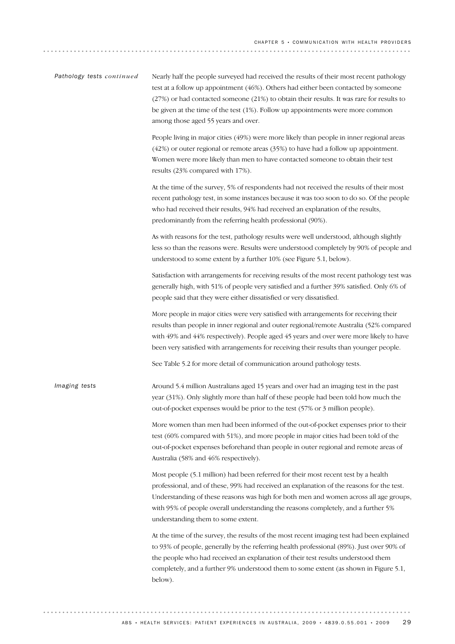| Pathology tests continued | Nearly half the people surveyed had received the results of their most recent pathology<br>test at a follow up appointment (46%). Others had either been contacted by someone<br>(27%) or had contacted someone (21%) to obtain their results. It was rare for results to<br>be given at the time of the test $(1\%)$ . Follow up appointments were more common<br>among those aged 55 years and over. |
|---------------------------|--------------------------------------------------------------------------------------------------------------------------------------------------------------------------------------------------------------------------------------------------------------------------------------------------------------------------------------------------------------------------------------------------------|
|                           | People living in major cities (49%) were more likely than people in inner regional areas<br>$(42%)$ or outer regional or remote areas $(35%)$ to have had a follow up appointment.<br>Women were more likely than men to have contacted someone to obtain their test<br>results (23% compared with 17%).                                                                                               |
|                           | At the time of the survey, 5% of respondents had not received the results of their most<br>recent pathology test, in some instances because it was too soon to do so. Of the people<br>who had received their results, 94% had received an explanation of the results,<br>predominantly from the referring health professional (90%).                                                                  |
|                           | As with reasons for the test, pathology results were well understood, although slightly<br>less so than the reasons were. Results were understood completely by 90% of people and<br>understood to some extent by a further 10% (see Figure 5.1, below).                                                                                                                                               |
|                           | Satisfaction with arrangements for receiving results of the most recent pathology test was<br>generally high, with 51% of people very satisfied and a further 39% satisfied. Only 6% of<br>people said that they were either dissatisfied or very dissatisfied.                                                                                                                                        |
|                           | More people in major cities were very satisfied with arrangements for receiving their<br>results than people in inner regional and outer regional/remote Australia (52% compared<br>with 49% and 44% respectively). People aged 45 years and over were more likely to have<br>been very satisfied with arrangements for receiving their results than younger people.                                   |
|                           | See Table 5.2 for more detail of communication around pathology tests.                                                                                                                                                                                                                                                                                                                                 |
| Imaging tests             | Around 5.4 million Australians aged 15 years and over had an imaging test in the past<br>year (31%). Only slightly more than half of these people had been told how much the<br>out-of-pocket expenses would be prior to the test (57% or 3 million people).                                                                                                                                           |
|                           | More women than men had been informed of the out-of-pocket expenses prior to their<br>test (60% compared with 51%), and more people in major cities had been told of the<br>out-of-pocket expenses beforehand than people in outer regional and remote areas of<br>Australia (58% and 46% respectively).                                                                                               |
|                           | Most people (5.1 million) had been referred for their most recent test by a health<br>professional, and of these, 99% had received an explanation of the reasons for the test.<br>Understanding of these reasons was high for both men and women across all age groups,<br>with 95% of people overall understanding the reasons completely, and a further 5%<br>understanding them to some extent.     |
|                           | At the time of the survey, the results of the most recent imaging test had been explained<br>to 93% of people, generally by the referring health professional (89%). Just over 90% of<br>the people who had received an explanation of their test results understood them<br>completely, and a further 9% understood them to some extent (as shown in Figure 5.1,<br>below).                           |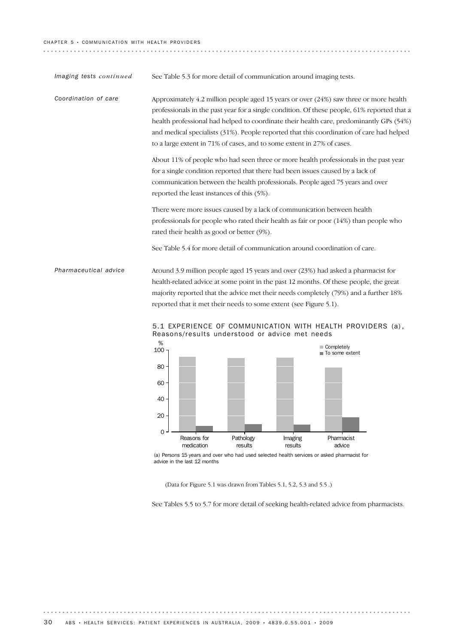| Imaging tests continued | See Table 5.3 for more detail of communication around imaging tests.                                                                                                                                                                                                                                                                                                                                                                                    |
|-------------------------|---------------------------------------------------------------------------------------------------------------------------------------------------------------------------------------------------------------------------------------------------------------------------------------------------------------------------------------------------------------------------------------------------------------------------------------------------------|
| Coordination of care    | Approximately 4.2 million people aged 15 years or over $(24%)$ saw three or more health<br>professionals in the past year for a single condition. Of these people, 61% reported that a<br>health professional had helped to coordinate their health care, predominantly GPs (54%)<br>and medical specialists (31%). People reported that this coordination of care had helped<br>to a large extent in 71% of cases, and to some extent in 27% of cases. |
|                         | About 11% of people who had seen three or more health professionals in the past year<br>for a single condition reported that there had been issues caused by a lack of<br>communication between the health professionals. People aged 75 years and over<br>reported the least instances of this (5%).                                                                                                                                                   |
|                         | There were more issues caused by a lack of communication between health<br>professionals for people who rated their health as fair or poor (14%) than people who<br>rated their health as good or better (9%).                                                                                                                                                                                                                                          |
|                         | See Table 5.4 for more detail of communication around coordination of care.                                                                                                                                                                                                                                                                                                                                                                             |
| Pharmaceutical advice   | Around 3.9 million people aged 15 years and over (23%) had asked a pharmacist for<br>health-related advice at some point in the past 12 months. Of these people, the great<br>majority reported that the advice met their needs completely (79%) and a further 18%<br>reported that it met their needs to some extent (see Figure 5.1).                                                                                                                 |
|                         | $F$ 1 EVDEDIENCE OF COMMITNICATION WITH HEALTH DDOVIDEDS (a)                                                                                                                                                                                                                                                                                                                                                                                            |



5.1 EXPERIENCE OF COMMUNICATION WITH HEALTH PROVIDERS (a) , Reasons/results understood or advice met needs

(a) Persons 15 years and over who had used selected health services or asked pharmacist for advice in the last 12 months

(Data for Figure 5.1 was drawn from Tables 5.1, 5.2, 5.3 and 5.5 .)

See Tables 5.5 to 5.7 for more detail of seeking health-related advice from pharmacists.

 $\frac{1}{2} \left( \frac{1}{2} \right) \left( \frac{1}{2} \right) \left( \frac{1}{2} \right) \left( \frac{1}{2} \right)$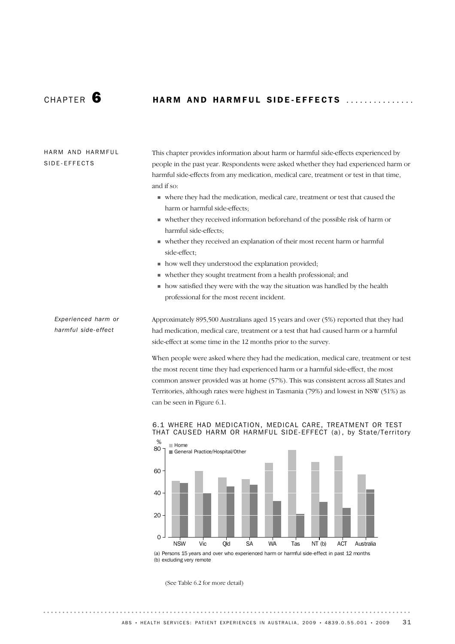# CHAPTER **6 HARM AND HARMFUL SIDE-EFFECTS**

### HARM AND HARMFUL SIDE-EFFECTS

This chapter provides information about harm or harmful side-effects experienced by people in the past year. Respondents were asked whether they had experienced harm or harmful side-effects from any medication, medical care, treatment or test in that time, and if so:

- ! where they had the medication, medical care, treatment or test that caused the harm or harmful side-effects;
- ! whether they received information beforehand of the possible risk of harm or harmful side-effects;
- ! whether they received an explanation of their most recent harm or harmful side-effect;
- ! how well they understood the explanation provided;
- ! whether they sought treatment from a health professional; and
- ! how satisfied they were with the way the situation was handled by the health professional for the most recent incident.

*Experienced harm or harmful side-effect*

Approximately 895,500 Australians aged 15 years and over (5%) reported that they had had medication, medical care, treatment or a test that had caused harm or a harmful side-effect at some time in the 12 months prior to the survey.

When people were asked where they had the medication, medical care, treatment or test the most recent time they had experienced harm or a harmful side-effect, the most common answer provided was at home (57%). This was consistent across all States and Territories, although rates were highest in Tasmania (79%) and lowest in NSW (51%) as can be seen in Figure 6.1.

#### 6.1 WHERE HAD MEDICATION, MEDICAL CARE, TREATMENT OR TEST THAT CAUSED HARM OR HARMFUL SIDE-EFFECT (a) , by State/Territory



(a) Persons 15 years and over who experienced harm or harmful side-effect in past 12 months (b) excluding very remote

(See Table 6.2 for more detail)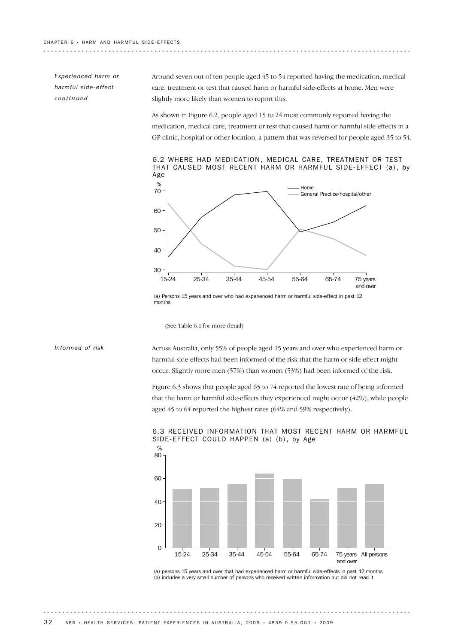*Experienced harm or harmful side-effect continued*

Around seven out of ten people aged 45 to 54 reported having the medication, medical care, treatment or test that caused harm or harmful side-effects at home. Men were slightly more likely than women to report this.

As shown in Figure 6.2, people aged 15 to 24 most commonly reported having the medication, medical care, treatment or test that caused harm or harmful side-effects in a GP clinic, hospital or other location, a pattern that was reversed for people aged 35 to 54.

6.2 WHERE HAD MEDICATION, MEDICAL CARE, TREATMENT OR TEST THAT CAUSED MOST RECENT HARM OR HARMFUL SIDE-EFFECT (a) , by Age



(a) Persons 15 years and over who had experienced harm or harmful side-effect in past 12 months

(See Table 6.1 for more detail)

#### *Informed of risk*

Across Australia, only 55% of people aged 15 years and over who experienced harm or harmful side-effects had been informed of the risk that the harm or side-effect might occur. Slightly more men (57%) than women (53%) had been informed of the risk.

Figure 6.3 shows that people aged 65 to 74 reported the lowest rate of being informed that the harm or harmful side-effects they experienced might occur (42%), while people aged 45 to 64 reported the highest rates (64% and 59% respectively).



#### 6.3 RECEIVED INFORMATION THAT MOST RECENT HARM OR HARMFUL SIDE-EFFECT COULD HAPPEN (a) (b), by Age

(a) persons 15 years and over that had experienced harm or harmful side-effects in past 12 months (b) includes a very small number of persons who received written information but did not read it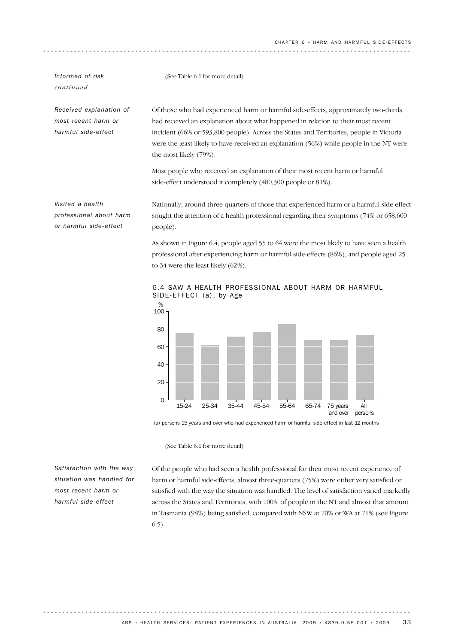*Informed of risk* (See Table 6.1 for more detail)

*continued*

*Received explanation of most recent harm or harmful side-effect*

Of those who had experienced harm or harmful side-effects, approximately two-thirds had received an explanation about what happened in relation to their most recent incident (66% or 593,800 people). Across the States and Territories, people in Victoria were the least likely to have received an explanation (56%) while people in the NT were the most likely (79%).

Most people who received an explanation of their most recent harm or harmful side-effect understood it completely (480,300 people or 81%).

*Visited a health professional about harm or harmful side-effect*

Nationally, around three-quarters of those that experienced harm or a harmful side-effect sought the attention of a health professional regarding their symptoms (74% or 658,600 people).

As shown in Figure 6.4, people aged 55 to 64 were the most likely to have seen a health professional after experiencing harm or harmful side-effects (86%), and people aged 25 to 34 were the least likely (62%).



6.4 SAW A HEALTH PROFESSIONAL ABOUT HARM OR HARMFUL SIDE-EFFECT (a), by Age

(a) persons 15 years and over who had experienced harm or harmful side-effect in last 12 months

(See Table 6.1 for more detail)

*Satisfaction with the way situation was handled for most recent harm or harmful side-effect*

Of the people who had seen a health professional for their most recent experience of harm or harmful side-effects, almost three-quarters (75%) were either very satisfied or satisfied with the way the situation was handled. The level of satisfaction varied markedly across the States and Territories, with 100% of people in the NT and almost that amount in Tasmania (98%) being satisfied, compared with NSW at 70% or WA at 71% (see Figure 6.5).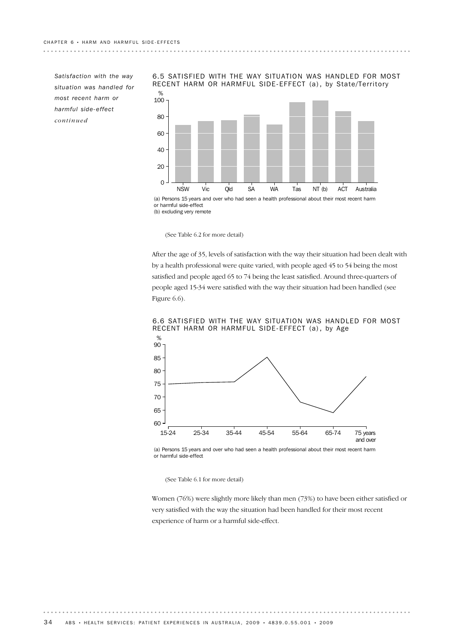**\*\*\*\*\*\*\*\*\*\*\*\*\*\***\*

*Satisfaction with the way situation was handled for most recent harm or harmful side-effect continued*



6.5 SATISFIED WITH THE WAY SITUATION WAS HANDLED FOR MOST RECENT HARM OR HARMFUL SIDE-EFFECT (a), by State/Territory

(b) excluding very remote

(See Table 6.2 for more detail)

After the age of 35, levels of satisfaction with the way their situation had been dealt with by a health professional were quite varied, with people aged 45 to 54 being the most satisfied and people aged 65 to 74 being the least satisfied. Around three-quarters of people aged 15-34 were satisfied with the way their situation had been handled (see Figure 6.6).



6.6 SATISFIED WITH THE WAY SITUATION WAS HANDLED FOR MOST RECENT HARM OR HARMFUL SIDE-EFFECT (a), by Age

(a) Persons 15 years and over who had seen a health professional about their most recent harm or harmful side-effect

(See Table 6.1 for more detail)

Women (76%) were slightly more likely than men (73%) to have been either satisfied or very satisfied with the way the situation had been handled for their most recent experience of harm or a harmful side-effect.

. . . . . . . .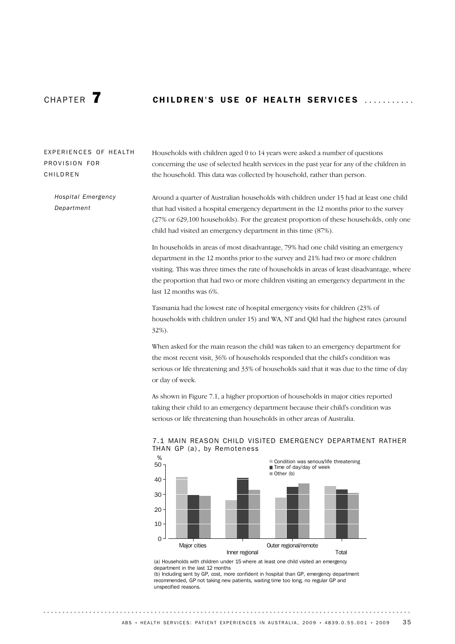# CHAPTER **7 CHILDREN'S USE OF HEALTH SERVICES**

### EXPERIENCES OF HEALTH PROVISION FOR **CHILDREN**

Households with children aged 0 to 14 years were asked a number of questions concerning the use of selected health services in the past year for any of the children in the household. This data was collected by household, rather than person.

Around a quarter of Australian households with children under 15 had at least one child that had visited a hospital emergency department in the 12 months prior to the survey (27% or 629,100 households). For the greatest proportion of these households, only one child had visited an emergency department in this time (87%). *Hospital Emergency Department*

> In households in areas of most disadvantage, 79% had one child visiting an emergency department in the 12 months prior to the survey and 21% had two or more children visiting. This was three times the rate of households in areas of least disadvantage, where the proportion that had two or more children visiting an emergency department in the last 12 months was 6%.

Tasmania had the lowest rate of hospital emergency visits for children (23% of households with children under 15) and WA, NT and Qld had the highest rates (around 32%).

When asked for the main reason the child was taken to an emergency department for the most recent visit, 36% of households responded that the child's condition was serious or life threatening and 33% of households said that it was due to the time of day or day of week.

As shown in Figure 7.1, a higher proportion of households in major cities reported taking their child to an emergency department because their child's condition was serious or life threatening than households in other areas of Australia.



#### 7.1 MAIN REASON CHILD VISITED EMERGENCY DEPARTMENT RATHER THAN GP (a), by Remoteness

(a) Households with children under 15 where at least one child visited an emergency department in the last 12 months

(b) Including sent by GP, cost, more confident in hospital than GP, emergency department recommended, GP not taking new patients, waiting time too long, no regular GP and unspecified reasons.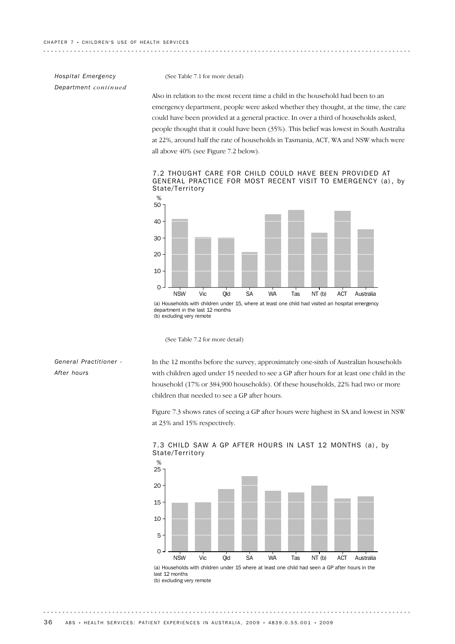..............................

### *Hospital Emergency Department continued*

(See Table 7.1 for more detail)

Also in relation to the most recent time a child in the household had been to an emergency department, people were asked whether they thought, at the time, the care could have been provided at a general practice. In over a third of households asked, people thought that it could have been (35%). This belief was lowest in South Australia at 22%, around half the rate of households in Tasmania, ACT, WA and NSW which were all above 40% (see Figure 7.2 below).

. . . . . . . . . . . . . . . .

. . . . . . . .

7.2 THOUGHT CARE FOR CHILD COULD HAVE BEEN PROVIDED AT GENERAL PRACTICE FOR MOST RECENT VISIT TO EMERGENCY (a), by State/Territory



(a) Households with children under 15, where at least one child had visited an hospital emergency department in the last 12 months (b) excluding very remote

(See Table 7.2 for more detail)

#### *General Practitioner - After hours*

In the 12 months before the survey, approximately one-sixth of Australian households with children aged under 15 needed to see a GP after hours for at least one child in the household (17% or 384,900 households). Of these households, 22% had two or more children that needed to see a GP after hours.

Figure 7.3 shows rates of seeing a GP after hours were highest in SA and lowest in NSW at 23% and 15% respectively.



7.3 CHILD SAW A GP AFTER HOURS IN LAST 12 MONTHS (a), by State/Territory

last 12 months (b) excluding very remote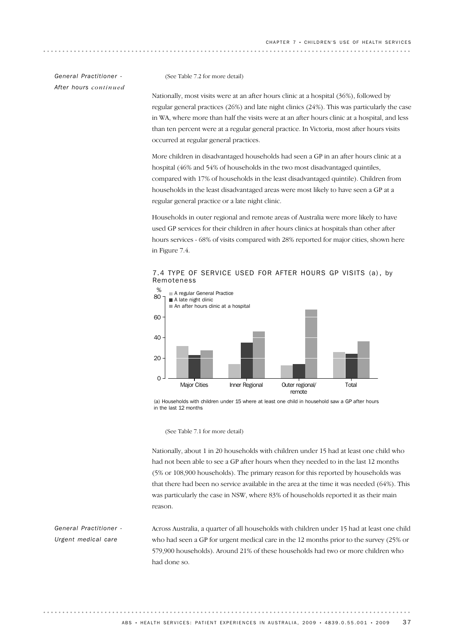*General Practitioner - After hours continued*

(See Table 7.2 for more detail)

Nationally, most visits were at an after hours clinic at a hospital (36%), followed by regular general practices (26%) and late night clinics (24%). This was particularly the case in WA, where more than half the visits were at an after hours clinic at a hospital, and less than ten percent were at a regular general practice. In Victoria, most after hours visits occurred at regular general practices.

More children in disadvantaged households had seen a GP in an after hours clinic at a hospital (46% and 54% of households in the two most disadvantaged quintiles, compared with 17% of households in the least disadvantaged quintile). Children from households in the least disadvantaged areas were most likely to have seen a GP at a regular general practice or a late night clinic.

Households in outer regional and remote areas of Australia were more likely to have used GP services for their children in after hours clinics at hospitals than other after hours services - 68% of visits compared with 28% reported for major cities, shown here in Figure 7.4.

7.4 TYPE OF SERVICE USED FOR AFTER HOURS GP VISITS (a) , by Remoteness



<sup>(</sup>a) Households with children under 15 where at least one child in household saw a GP after hours in the last 12 months

(See Table 7.1 for more detail)

Nationally, about 1 in 20 households with children under 15 had at least one child who had not been able to see a GP after hours when they needed to in the last 12 months (5% or 108,900 households). The primary reason for this reported by households was that there had been no service available in the area at the time it was needed (64%). This was particularly the case in NSW, where 83% of households reported it as their main reason.

Across Australia, a quarter of all households with children under 15 had at least one child who had seen a GP for urgent medical care in the 12 months prior to the survey (25% or 579,900 households). Around 21% of these households had two or more children who had done so. *General Practitioner - Urgent medical care*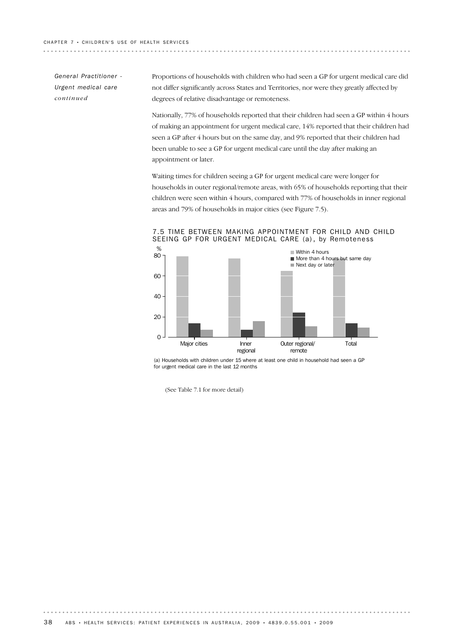*General Practitioner - Urgent medical care continued*

Proportions of households with children who had seen a GP for urgent medical care did not differ significantly across States and Territories, nor were they greatly affected by degrees of relative disadvantage or remoteness.

Nationally, 77% of households reported that their children had seen a GP within 4 hours of making an appointment for urgent medical care, 14% reported that their children had seen a GP after 4 hours but on the same day, and 9% reported that their children had been unable to see a GP for urgent medical care until the day after making an appointment or later.

Waiting times for children seeing a GP for urgent medical care were longer for households in outer regional/remote areas, with 65% of households reporting that their children were seen within 4 hours, compared with 77% of households in inner regional areas and 79% of households in major cities (see Figure 7.5).



7.5 TIME BETWEEN MAKING APPOINTMENT FOR CHILD AND CHILD SEEING GP FOR URGENT MEDICAL CARE (a), by Remoteness

(a) Households with children under 15 where at least one child in household had seen a GP for urgent medical care in the last 12 months

. . . . . . . . . .

(See Table 7.1 for more detail)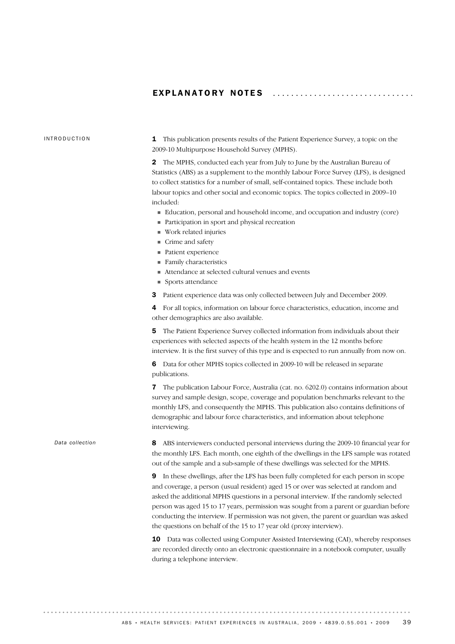#### EXPLANATORY NOTES

#### INTRODUCTION

1 This publication presents results of the Patient Experience Survey, a topic on the 2009-10 Multipurpose Household Survey (MPHS).

2 The MPHS, conducted each year from July to June by the Australian Bureau of Statistics (ABS) as a supplement to the monthly Labour Force Survey (LFS), is designed to collect statistics for a number of small, self-contained topics. These include both labour topics and other social and economic topics. The topics collected in 2009–10 included:

- ! Education, personal and household income, and occupation and industry (core)
- ! Participation in sport and physical recreation
- ! Work related injuries
- **Crime and safety**
- Patient experience
- Family characteristics
- ! Attendance at selected cultural venues and events
- **E.** Sports attendance
- 3 Patient experience data was only collected between July and December 2009.

4 For all topics, information on labour force characteristics, education, income and other demographics are also available.

5 The Patient Experience Survey collected information from individuals about their experiences with selected aspects of the health system in the 12 months before interview. It is the first survey of this type and is expected to run annually from now on.

6 Data for other MPHS topics collected in 2009-10 will be released in separate publications.

7 The publication Labour Force, Australia (cat. no. 6202.0) contains information about survey and sample design, scope, coverage and population benchmarks relevant to the monthly LFS, and consequently the MPHS. This publication also contains definitions of demographic and labour force characteristics, and information about telephone interviewing.

*Data collection*

8 ABS interviewers conducted personal interviews during the 2009-10 financial year for the monthly LFS. Each month, one eighth of the dwellings in the LFS sample was rotated out of the sample and a sub-sample of these dwellings was selected for the MPHS.

9 In these dwellings, after the LFS has been fully completed for each person in scope and coverage, a person (usual resident) aged 15 or over was selected at random and asked the additional MPHS questions in a personal interview. If the randomly selected person was aged 15 to 17 years, permission was sought from a parent or guardian before conducting the interview. If permission was not given, the parent or guardian was asked the questions on behalf of the 15 to 17 year old (proxy interview).

10 Data was collected using Computer Assisted Interviewing (CAI), whereby responses are recorded directly onto an electronic questionnaire in a notebook computer, usually during a telephone interview.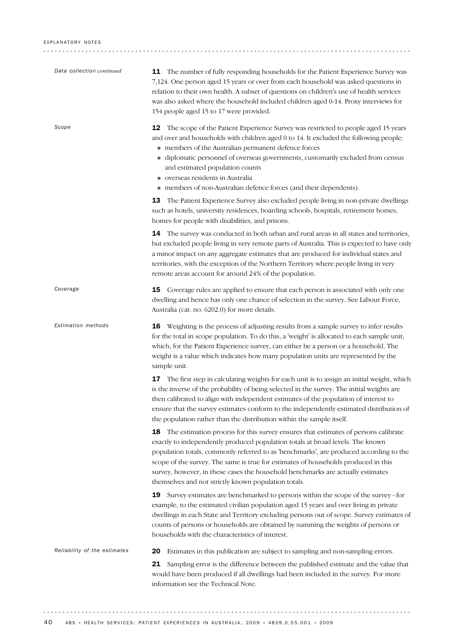| Data collection continued    | <b>11</b> The number of fully responding households for the Patient Experience Survey was<br>7,124. One person aged 15 years or over from each household was asked questions in<br>relation to their own health. A subset of questions on children's use of health services<br>was also asked where the household included children aged 0-14. Proxy interviews for<br>154 people aged 15 to 17 were provided.                                                                                            |
|------------------------------|-----------------------------------------------------------------------------------------------------------------------------------------------------------------------------------------------------------------------------------------------------------------------------------------------------------------------------------------------------------------------------------------------------------------------------------------------------------------------------------------------------------|
| Scope                        | <b>12</b> The scope of the Patient Experience Survey was restricted to people aged 15 years<br>and over and households with children aged 0 to 14. It excluded the following people:<br>members of the Australian permanent defence forces<br>• diplomatic personnel of overseas governments, customarily excluded from census<br>and estimated population counts<br>verseas residents in Australia<br>members of non-Australian defence forces (and their dependents).                                   |
|                              | 13 The Patient Experience Survey also excluded people living in non-private dwellings<br>such as hotels, university residences, boarding schools, hospitals, retirement homes,<br>homes for people with disabilities, and prisons.                                                                                                                                                                                                                                                                        |
|                              | <b>14</b> The survey was conducted in both urban and rural areas in all states and territories,<br>but excluded people living in very remote parts of Australia. This is expected to have only<br>a minor impact on any aggregate estimates that are produced for individual states and<br>territories, with the exception of the Northern Territory where people living in very<br>remote areas account for around 24% of the population.                                                                |
| Coverage                     | <b>15</b> Coverage rules are applied to ensure that each person is associated with only one<br>dwelling and hence has only one chance of selection in the survey. See Labour Force,<br>Australia (cat. no. 6202.0) for more details.                                                                                                                                                                                                                                                                      |
| Estimation methods           | <b>16</b> Weighting is the process of adjusting results from a sample survey to infer results<br>for the total in scope population. To do this, a 'weight' is allocated to each sample unit,<br>which, for the Patient Experience survey, can either be a person or a household. The<br>weight is a value which indicates how many population units are represented by the<br>sample unit.                                                                                                                |
|                              | 17 The first step in calculating weights for each unit is to assign an initial weight, which<br>is the inverse of the probability of being selected in the survey. The initial weights are<br>then calibrated to align with independent estimates of the population of interest to<br>ensure that the survey estimates conform to the independently estimated distribution of<br>the population rather than the distribution within the sample itself.                                                    |
|                              | <b>18</b> The estimation process for this survey ensures that estimates of persons calibrate<br>exactly to independently produced population totals at broad levels. The known<br>population totals, commonly referred to as 'benchmarks', are produced according to the<br>scope of the survey. The same is true for estimates of households produced in this<br>survey, however, in these cases the household benchmarks are actually estimates<br>themselves and not strictly known population totals. |
|                              | Survey estimates are benchmarked to persons within the scope of the survey - for<br>19<br>example, to the estimated civilian population aged 15 years and over living in private<br>dwellings in each State and Territory excluding persons out of scope. Survey estimates of<br>counts of persons or households are obtained by summing the weights of persons or<br>households with the characteristics of interest.                                                                                    |
| Reliability of the estimates | Estimates in this publication are subject to sampling and non-sampling errors.<br>20                                                                                                                                                                                                                                                                                                                                                                                                                      |
|                              | Sampling error is the difference between the published estimate and the value that<br>21<br>would have been produced if all dwellings had been included in the survey. For more<br>information see the Technical Note.                                                                                                                                                                                                                                                                                    |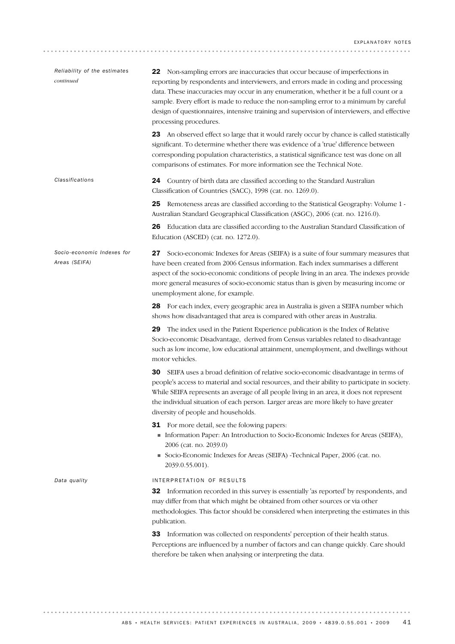| Reliability of the estimates<br>continued   | 22 Non-sampling errors are inaccuracies that occur because of imperfections in<br>reporting by respondents and interviewers, and errors made in coding and processing<br>data. These inaccuracies may occur in any enumeration, whether it be a full count or a<br>sample. Every effort is made to reduce the non-sampling error to a minimum by careful<br>design of questionnaires, intensive training and supervision of interviewers, and effective<br>processing procedures. |
|---------------------------------------------|-----------------------------------------------------------------------------------------------------------------------------------------------------------------------------------------------------------------------------------------------------------------------------------------------------------------------------------------------------------------------------------------------------------------------------------------------------------------------------------|
|                                             | 23 An observed effect so large that it would rarely occur by chance is called statistically<br>significant. To determine whether there was evidence of a 'true' difference between<br>corresponding population characteristics, a statistical significance test was done on all<br>comparisons of estimates. For more information see the Technical Note.                                                                                                                         |
| Classifications                             | 24 Country of birth data are classified according to the Standard Australian<br>Classification of Countries (SACC), 1998 (cat. no. 1269.0).                                                                                                                                                                                                                                                                                                                                       |
|                                             | Remoteness areas are classified according to the Statistical Geography: Volume 1 -<br>25<br>Australian Standard Geographical Classification (ASGC), 2006 (cat. no. 1216.0).                                                                                                                                                                                                                                                                                                       |
|                                             | 26 Education data are classified according to the Australian Standard Classification of<br>Education (ASCED) (cat. no. 1272.0).                                                                                                                                                                                                                                                                                                                                                   |
| Socio-economic Indexes for<br>Areas (SEIFA) | Socio-economic Indexes for Areas (SEIFA) is a suite of four summary measures that<br>27<br>have been created from 2006 Census information. Each index summarises a different<br>aspect of the socio-economic conditions of people living in an area. The indexes provide<br>more general measures of socio-economic status than is given by measuring income or<br>unemployment alone, for example.                                                                               |
|                                             | 28 For each index, every geographic area in Australia is given a SEIFA number which<br>shows how disadvantaged that area is compared with other areas in Australia.                                                                                                                                                                                                                                                                                                               |
|                                             | The index used in the Patient Experience publication is the Index of Relative<br>29<br>Socio-economic Disadvantage, derived from Census variables related to disadvantage<br>such as low income, low educational attainment, unemployment, and dwellings without<br>motor vehicles.                                                                                                                                                                                               |
|                                             | 30<br>SEIFA uses a broad definition of relative socio-economic disadvantage in terms of<br>people's access to material and social resources, and their ability to participate in society.<br>While SEIFA represents an average of all people living in an area, it does not represent<br>the individual situation of each person. Larger areas are more likely to have greater<br>diversity of people and households.                                                             |
|                                             | <b>31</b> For more detail, see the folowing papers:<br>Information Paper: An Introduction to Socio-Economic Indexes for Areas (SEIFA),<br>2006 (cat. no. 2039.0)<br>Socio-Economic Indexes for Areas (SEIFA) -Technical Paper, 2006 (cat. no.<br>2039.0.55.001).                                                                                                                                                                                                                  |
| Data quality                                | INTERPRETATION OF RESULTS<br><b>32</b> Information recorded in this survey is essentially 'as reported' by respondents, and<br>may differ from that which might be obtained from other sources or via other<br>methodologies. This factor should be considered when interpreting the estimates in this<br>publication.                                                                                                                                                            |
|                                             | 33 Information was collected on respondents' perception of their health status.<br>Perceptions are influenced by a number of factors and can change quickly. Care should<br>therefore be taken when analysing or interpreting the data.                                                                                                                                                                                                                                           |

. . . . . . . . . . . . . . . . . . . .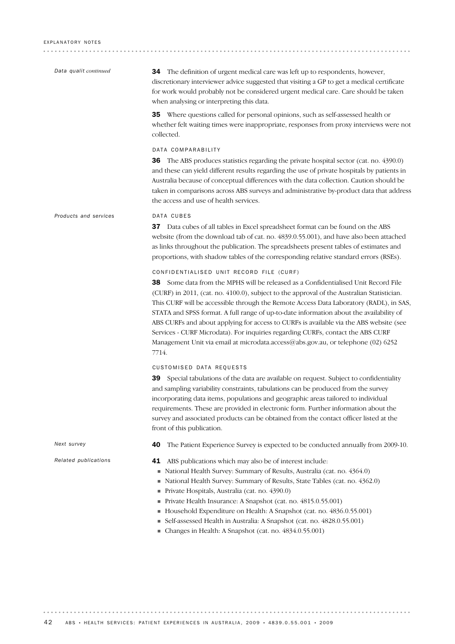| Data qualit continued | <b>34</b> The definition of urgent medical care was left up to respondents, however,<br>discretionary interviewer advice suggested that visiting a GP to get a medical certificate<br>for work would probably not be considered urgent medical care. Care should be taken<br>when analysing or interpreting this data.                                                                                                                                                                                                                                                                                                                                                                             |
|-----------------------|----------------------------------------------------------------------------------------------------------------------------------------------------------------------------------------------------------------------------------------------------------------------------------------------------------------------------------------------------------------------------------------------------------------------------------------------------------------------------------------------------------------------------------------------------------------------------------------------------------------------------------------------------------------------------------------------------|
|                       | 35 Where questions called for personal opinions, such as self-assessed health or<br>whether felt waiting times were inappropriate, responses from proxy interviews were not<br>collected.                                                                                                                                                                                                                                                                                                                                                                                                                                                                                                          |
|                       | DATA COMPARABILITY<br><b>36</b> The ABS produces statistics regarding the private hospital sector (cat. no. 4390.0)<br>and these can yield different results regarding the use of private hospitals by patients in<br>Australia because of conceptual differences with the data collection. Caution should be<br>taken in comparisons across ABS surveys and administrative by-product data that address<br>the access and use of health services.                                                                                                                                                                                                                                                 |
| Products and services | DATA CUBES<br><b>37</b> Data cubes of all tables in Excel spreadsheet format can be found on the ABS<br>website (from the download tab of cat. no. 4839.0.55.001), and have also been attached<br>as links throughout the publication. The spreadsheets present tables of estimates and<br>proportions, with shadow tables of the corresponding relative standard errors (RSEs).                                                                                                                                                                                                                                                                                                                   |
|                       | CONFIDENTIALISED UNIT RECORD FILE (CURF)<br><b>38</b> Some data from the MPHS will be released as a Confidentialised Unit Record File<br>(CURF) in 2011, (cat. no. 4100.0), subject to the approval of the Australian Statistician.<br>This CURF will be accessible through the Remote Access Data Laboratory (RADL), in SAS,<br>STATA and SPSS format. A full range of up-to-date information about the availability of<br>ABS CURFs and about applying for access to CURFs is available via the ABS website (see<br>Services - CURF Microdata). For inquiries regarding CURFs, contact the ABS CURF<br>Management Unit via email at microdata.access@abs.gov.au, or telephone (02) 6252<br>7714. |
|                       | CUSTOMISED DATA REQUESTS<br><b>39</b> Special tabulations of the data are available on request. Subject to confidentiality<br>and sampling variability constraints, tabulations can be produced from the survey<br>incorporating data items, populations and geographic areas tailored to individual<br>requirements. These are provided in electronic form. Further information about the<br>survey and associated products can be obtained from the contact officer listed at the<br>front of this publication.                                                                                                                                                                                  |
| Next survey           | The Patient Experience Survey is expected to be conducted annually from 2009-10.<br>40                                                                                                                                                                                                                                                                                                                                                                                                                                                                                                                                                                                                             |
| Related publications  | 41 ABS publications which may also be of interest include:<br>National Health Survey: Summary of Results, Australia (cat. no. 4364.0)<br>National Health Survey: Summary of Results, State Tables (cat. no. 4362.0)<br>Private Hospitals, Australia (cat. no. 4390.0)<br>Private Health Insurance: A Snapshot (cat. no. 4815.0.55.001)<br>Household Expenditure on Health: A Snapshot (cat. no. 4836.0.55.001)<br>Self-assessed Health in Australia: A Snapshot (cat. no. 4828.0.55.001)<br>Changes in Health: A Snapshot (cat. no. 4834.0.55.001)                                                                                                                                                 |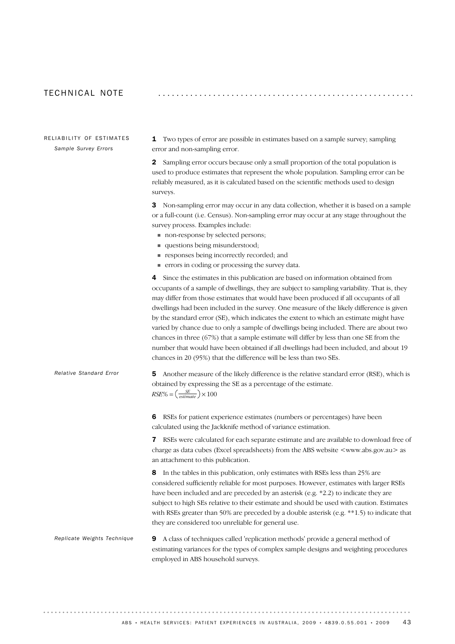#### TECHNICAI NOTE

RELIABILITY OF ESTIMATES *Sample Survey Errors*

1 Two types of error are possible in estimates based on a sample survey; sampling error and non-sampling error.

2 Sampling error occurs because only a small proportion of the total population is used to produce estimates that represent the whole population. Sampling error can be reliably measured, as it is calculated based on the scientific methods used to design surveys.

3 Non-sampling error may occur in any data collection, whether it is based on a sample or a full-count (i.e. Census). Non-sampling error may occur at any stage throughout the survey process. Examples include:

- $\blacksquare$  non-response by selected persons;
- ! questions being misunderstood;
- ! responses being incorrectly recorded; and
- ! errors in coding or processing the survey data.

4 Since the estimates in this publication are based on information obtained from occupants of a sample of dwellings, they are subject to sampling variability. That is, they may differ from those estimates that would have been produced if all occupants of all dwellings had been included in the survey. One measure of the likely difference is given by the standard error (SE), which indicates the extent to which an estimate might have varied by chance due to only a sample of dwellings being included. There are about two chances in three (67%) that a sample estimate will differ by less than one SE from the number that would have been obtained if all dwellings had been included, and about 19 chances in 20 (95%) that the difference will be less than two SEs.

| Relative Standard Error | <b>5</b> Another measure of the likely difference is the relative standard error (RSE), which is |
|-------------------------|--------------------------------------------------------------------------------------------------|
|                         | obtained by expressing the SE as a percentage of the estimate.                                   |
|                         | $RSE\% = \left(\frac{SE}{estimate}\right) \times 100$                                            |

6 RSEs for patient experience estimates (numbers or percentages) have been calculated using the Jackknife method of variance estimation.

**7** RSEs were calculated for each separate estimate and are available to download free of charge as data cubes (Excel spreadsheets) from the ABS website  $\langle$ www.abs.gov.au  $>$  as an attachment to this publication.

8 In the tables in this publication, only estimates with RSEs less than 25% are considered sufficiently reliable for most purposes. However, estimates with larger RSEs have been included and are preceded by an asterisk (e.g. \*2.2) to indicate they are subject to high SEs relative to their estimate and should be used with caution. Estimates with RSEs greater than 50% are preceded by a double asterisk (e.g.  $**1.5$ ) to indicate that they are considered too unreliable for general use.

9 A class of techniques called 'replication methods' provide a general method of estimating variances for the types of complex sample designs and weighting procedures employed in ABS household surveys. *Replicate Weights Technique*

ABS • HEALTH SERVICES: PATIENT EXPERIENCES IN AUSTRALIA, 2009 • 4839.0.55.001 • 2009 43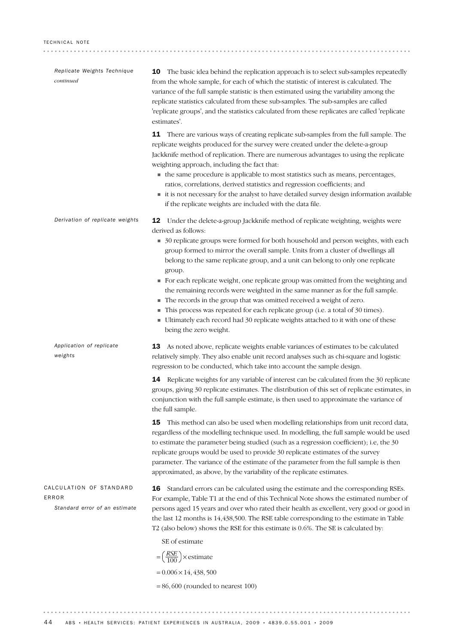| Replicate Weights Technique<br>continued                          | <b>10</b> The basic idea behind the replication approach is to select sub-samples repeatedly<br>from the whole sample, for each of which the statistic of interest is calculated. The<br>variance of the full sample statistic is then estimated using the variability among the<br>replicate statistics calculated from these sub-samples. The sub-samples are called<br>'replicate groups', and the statistics calculated from these replicates are called 'replicate<br>estimates'.                                                                                                                                                                                                                                                                                                                                              |
|-------------------------------------------------------------------|-------------------------------------------------------------------------------------------------------------------------------------------------------------------------------------------------------------------------------------------------------------------------------------------------------------------------------------------------------------------------------------------------------------------------------------------------------------------------------------------------------------------------------------------------------------------------------------------------------------------------------------------------------------------------------------------------------------------------------------------------------------------------------------------------------------------------------------|
|                                                                   | There are various ways of creating replicate sub-samples from the full sample. The<br>11<br>replicate weights produced for the survey were created under the delete-a-group<br>Jackknife method of replication. There are numerous advantages to using the replicate<br>weighting approach, including the fact that:<br>• the same procedure is applicable to most statistics such as means, percentages,<br>ratios, correlations, derived statistics and regression coefficients; and<br>it is not necessary for the analyst to have detailed survey design information available<br>if the replicate weights are included with the data file.                                                                                                                                                                                     |
| Derivation of replicate weights                                   | 12 Under the delete-a-group Jackknife method of replicate weighting, weights were<br>derived as follows:<br>30 replicate groups were formed for both household and person weights, with each<br>group formed to mirror the overall sample. Units from a cluster of dwellings all<br>belong to the same replicate group, and a unit can belong to only one replicate<br>group.<br>• For each replicate weight, one replicate group was omitted from the weighting and<br>the remaining records were weighted in the same manner as for the full sample.<br>The records in the group that was omitted received a weight of zero.<br>This process was repeated for each replicate group (i.e. a total of 30 times).<br>Ultimately each record had 30 replicate weights attached to it with one of these<br>ш<br>being the zero weight. |
| Application of replicate<br>weights                               | <b>13</b> As noted above, replicate weights enable variances of estimates to be calculated<br>relatively simply. They also enable unit record analyses such as chi-square and logistic<br>regression to be conducted, which take into account the sample design.<br><b>14</b> Replicate weights for any variable of interest can be calculated from the 30 replicate                                                                                                                                                                                                                                                                                                                                                                                                                                                                |
|                                                                   | groups, giving 30 replicate estimates. The distribution of this set of replicate estimates, in<br>conjunction with the full sample estimate, is then used to approximate the variance of<br>the full sample.                                                                                                                                                                                                                                                                                                                                                                                                                                                                                                                                                                                                                        |
|                                                                   | This method can also be used when modelling relationships from unit record data,<br>15<br>regardless of the modelling technique used. In modelling, the full sample would be used<br>to estimate the parameter being studied (such as a regression coefficient); i.e, the 30<br>replicate groups would be used to provide 30 replicate estimates of the survey<br>parameter. The variance of the estimate of the parameter from the full sample is then<br>approximated, as above, by the variability of the replicate estimates.                                                                                                                                                                                                                                                                                                   |
| CALCULATION OF STANDARD<br>ERROR<br>Standard error of an estimate | Standard errors can be calculated using the estimate and the corresponding RSEs.<br>16<br>For example, Table T1 at the end of this Technical Note shows the estimated number of<br>persons aged 15 years and over who rated their health as excellent, very good or good in<br>the last 12 months is 14,438,500. The RSE table corresponding to the estimate in Table<br>T2 (also below) shows the RSE for this estimate is 0.6%. The SE is calculated by:                                                                                                                                                                                                                                                                                                                                                                          |
|                                                                   | SE of estimate                                                                                                                                                                                                                                                                                                                                                                                                                                                                                                                                                                                                                                                                                                                                                                                                                      |
|                                                                   | $=\left(\frac{RSE}{100}\right) \times$ estimate                                                                                                                                                                                                                                                                                                                                                                                                                                                                                                                                                                                                                                                                                                                                                                                     |
|                                                                   | $= 0.006 \times 14,438,500$                                                                                                                                                                                                                                                                                                                                                                                                                                                                                                                                                                                                                                                                                                                                                                                                         |
|                                                                   | $= 86,600$ (rounded to nearest 100)                                                                                                                                                                                                                                                                                                                                                                                                                                                                                                                                                                                                                                                                                                                                                                                                 |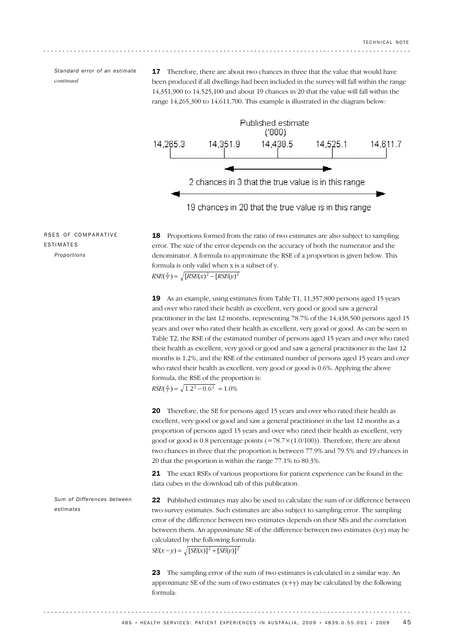*Standard error of an estimate continued*

**17** Therefore, there are about two chances in three that the value that would have been produced if all dwellings had been included in the survey will fall within the range 14,351,900 to 14,525,100 and about 19 chances in 20 that the value will fall within the range 14,265,300 to 14,611,700. This example is illustrated in the diagram below:



RSES OF COMPARATIVE ESTIMATES *Proportions*

 $RSE(\frac{x}{y}) = \sqrt{[RSE(x)]^2 - [RSE(y)]^2}$ 18 Proportions formed from the ratio of two estimates are also subject to sampling error. The size of the error depends on the accuracy of both the numerator and the denominator. A formula to approximate the RSE of a proportion is given below. This formula is only valid when x is a subset of y.

 $RSE(\frac{x}{y}) = \sqrt{1.2^2 - 0.6^2} = 1.0\%$ 19 As an example, using estimates from Table T1, 11,357,800 persons aged 15 years and over who rated their health as excellent, very good or good saw a general practitioner in the last 12 months, representing 78.7% of the 14,438,500 persons aged 15 years and over who rated their health as excellent, very good or good. As can be seen in Table T2, the RSE of the estimated number of persons aged 15 years and over who rated their health as excellent, very good or good and saw a general practitioner in the last 12 months is 1.2%, and the RSE of the estimated number of persons aged 15 years and over who rated their health as excellent, very good or good is 0.6%. Applying the above formula, the RSE of the proportion is:

20 Therefore, the SE for persons aged 15 years and over who rated their health as excellent, very good or good and saw a general practitioner in the last 12 months as a proportion of persons aged 15 years and over who rated their health as excellent, very good or good is 0.8 percentage points  $(=78.7\times(1.0/100))$ . Therefore, there are about two chances in three that the proportion is between 77.9% and 79.5% and 19 chances in 20 that the proportion is within the range 77.1% to 80.3%.

21 The exact RSEs of various proportions for patient experience can be found in the data cubes in the download tab of this publication.

22 Published estimates may also be used to calculate the sum of or difference between two survey estimates. Such estimates are also subject to sampling error. The sampling error of the difference between two estimates depends on their SEs and the correlation between them. An approximate SE of the difference between two estimates (x-y) may be calculated by the following formula: *Sum of Differences between estimates*

$$
SE(x - y) = \sqrt{[SE(x)]^2 + [SE(y)]^2}
$$

23 The sampling error of the sum of two estimates is calculated in a similar way. An approximate SE of the sum of two estimates  $(x+y)$  may be calculated by the following formula: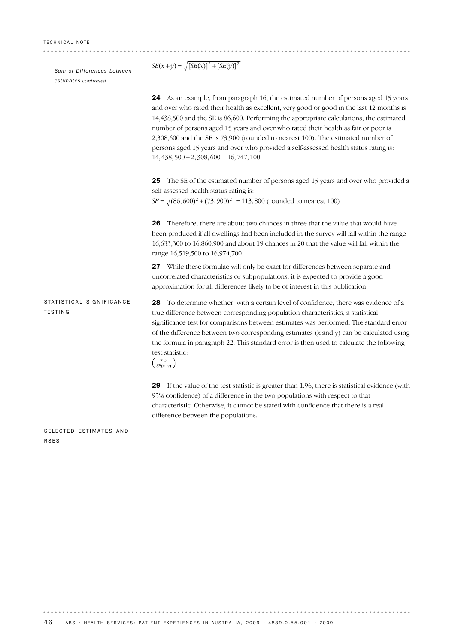*Sum of Differences between estimates continued*

|                                            | 24 As an example, from paragraph 16, the estimated number of persons aged 15 years<br>and over who rated their health as excellent, very good or good in the last 12 months is<br>14,438,500 and the SE is 86,600. Performing the appropriate calculations, the estimated<br>number of persons aged 15 years and over who rated their health as fair or poor is<br>2,308,600 and the SE is 73,900 (rounded to nearest 100). The estimated number of<br>persons aged 15 years and over who provided a self-assessed health status rating is:<br>$14,438,500 + 2,308,600 = 16,747,100$ |
|--------------------------------------------|--------------------------------------------------------------------------------------------------------------------------------------------------------------------------------------------------------------------------------------------------------------------------------------------------------------------------------------------------------------------------------------------------------------------------------------------------------------------------------------------------------------------------------------------------------------------------------------|
|                                            | The SE of the estimated number of persons aged 15 years and over who provided a<br>25<br>self-assessed health status rating is:<br>$SE = \sqrt{(86,600)^2 + (73,900)^2} = 113,800$ (rounded to nearest 100)                                                                                                                                                                                                                                                                                                                                                                          |
|                                            | Therefore, there are about two chances in three that the value that would have<br>26<br>been produced if all dwellings had been included in the survey will fall within the range<br>16,633,300 to 16,860,900 and about 19 chances in 20 that the value will fall within the<br>range 16,519,500 to 16,974,700.                                                                                                                                                                                                                                                                      |
|                                            | 27 While these formulae will only be exact for differences between separate and<br>uncorrelated characteristics or subpopulations, it is expected to provide a good<br>approximation for all differences likely to be of interest in this publication.                                                                                                                                                                                                                                                                                                                               |
| STATISTICAL SIGNIFICANCE<br><b>TESTING</b> | <b>28</b> To determine whether, with a certain level of confidence, there was evidence of a<br>true difference between corresponding population characteristics, a statistical<br>significance test for comparisons between estimates was performed. The standard error<br>of the difference between two corresponding estimates (x and y) can be calculated using<br>the formula in paragraph 22. This standard error is then used to calculate the following<br>test statistic:<br>$\left(\frac{x-y}{SE(x-y)}\right)$                                                              |
|                                            | 29 If the value of the test statistic is greater than 1.96, there is statistical evidence (with<br>95% confidence) of a difference in the two populations with respect to that<br>characteristic. Otherwise, it cannot be stated with confidence that there is a real                                                                                                                                                                                                                                                                                                                |

*SE*(*x*+*y*) =  $\sqrt{[SE(x)]^2 + [SE(y)]^2}$ 

SELECTED ESTIMATES AND RSES

 $\alpha$  is a set  $\alpha$ 

difference between the populations.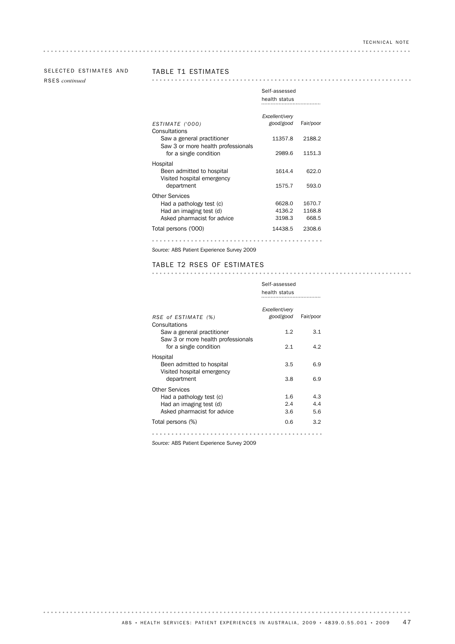# SELECTED ESTIMATES AND TABLE T1 ESTIMATES

. . . . . . . . . . . . . . . . . .

RSES *continued*

|                                                                                                             | health status               |                           |
|-------------------------------------------------------------------------------------------------------------|-----------------------------|---------------------------|
| ESTIMATE ('000)<br>Consultations                                                                            | Excellent/very<br>good/good | Fair/poor                 |
| Saw a general practitioner                                                                                  | 11357.8                     | 2188.2                    |
| Saw 3 or more health professionals<br>for a single condition                                                | 2989.6                      | 1151.3                    |
| Hospital<br>Been admitted to hospital<br>Visited hospital emergency<br>department                           | 1614.4<br>1575.7            | 622.0<br>593.0            |
|                                                                                                             |                             |                           |
| <b>Other Services</b><br>Had a pathology test (c)<br>Had an imaging test (d)<br>Asked pharmacist for advice | 6628.0<br>4136.2<br>3198.3  | 1670.7<br>1168.8<br>668.5 |
| Total persons ('000)                                                                                        | 14438.5                     | 2308.6                    |
|                                                                                                             |                             |                           |

*Source:* ABS Patient Experience Survey 2009

TABLE T2 RSES OF ESTIMATES

Self-assessed

|                                                                                                             | Self-assessed<br>health status |                   |
|-------------------------------------------------------------------------------------------------------------|--------------------------------|-------------------|
| RSE of ESTIMATE (%)<br>Consultations                                                                        | Excellent/very<br>good/good    | Fair/poor         |
| Saw a general practitioner                                                                                  | 1.2                            | 3.1               |
| Saw 3 or more health professionals<br>for a single condition                                                | 2.1                            | 4.2               |
| Hospital<br>Been admitted to hospital<br>Visited hospital emergency                                         | 3.5                            | 6.9               |
| department                                                                                                  | 3.8                            | 6.9               |
| <b>Other Services</b><br>Had a pathology test (c)<br>Had an imaging test (d)<br>Asked pharmacist for advice | $1.6\,$<br>2.4<br>3.6          | 4.3<br>4.4<br>5.6 |
| Total persons (%)                                                                                           | 0.6                            | 3.2               |
|                                                                                                             |                                |                   |

*Source:* ABS Patient Experience Survey 2009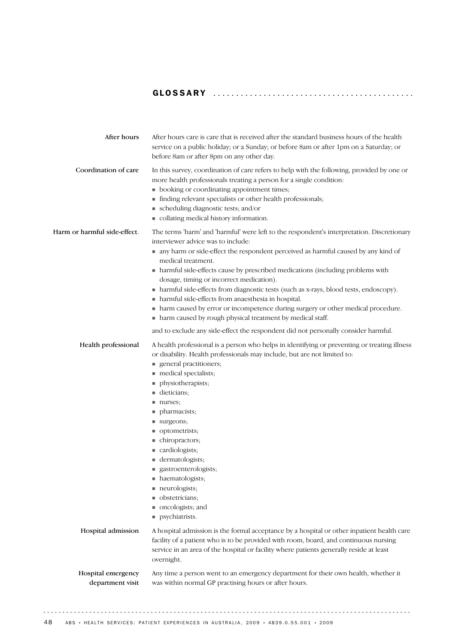# GLOSSARY ........................................... .

| After hours                            | After hours care is care that is received after the standard business hours of the health<br>service on a public holiday; or a Sunday; or before 8am or after 1pm on a Saturday; or<br>before 8am or after 8pm on any other day.                                                                                                                                                                                                                                                                                                                                                                                                                                                                                                                                               |
|----------------------------------------|--------------------------------------------------------------------------------------------------------------------------------------------------------------------------------------------------------------------------------------------------------------------------------------------------------------------------------------------------------------------------------------------------------------------------------------------------------------------------------------------------------------------------------------------------------------------------------------------------------------------------------------------------------------------------------------------------------------------------------------------------------------------------------|
| Coordination of care                   | In this survey, coordination of care refers to help with the following, provided by one or<br>more health professionals treating a person for a single condition:<br>• booking or coordinating appointment times;<br>finding relevant specialists or other health professionals;<br>scheduling diagnostic tests; and/or<br>collating medical history information.                                                                                                                                                                                                                                                                                                                                                                                                              |
| Harm or harmful side-effect.           | The terms 'harm' and 'harmful' were left to the respondent's interpretation. Discretionary<br>interviewer advice was to include:<br>n any harm or side-effect the respondent perceived as harmful caused by any kind of<br>medical treatment.<br>• harmful side-effects cause by prescribed medications (including problems with<br>dosage, timing or incorrect medication).<br>• harmful side-effects from diagnostic tests (such as x-rays, blood tests, endoscopy).<br>• harmful side-effects from anaesthesia in hospital.<br>harm caused by error or incompetence during surgery or other medical procedure.<br>٠<br>harm caused by rough physical treatment by medical staff.<br>٠<br>and to exclude any side-effect the respondent did not personally consider harmful. |
| Health professional                    | A health professional is a person who helps in identifying or preventing or treating illness<br>or disability. Health professionals may include, but are not limited to:<br>general practitioners;<br>medical specialists;<br>physiotherapists;<br>dieticians;<br>nurses;<br>pharmacists;<br>surgeons;<br>optometrists;<br>chiropractors;<br>cardiologists;<br>dermatologists;<br>■ gastroenterologists;<br>• haematologists;<br>neurologists;<br>obstetricians;<br>oncologists; and<br>psychiatrists.                                                                                                                                                                                                                                                                         |
| Hospital admission                     | A hospital admission is the formal acceptance by a hospital or other inpatient health care<br>facility of a patient who is to be provided with room, board, and continuous nursing<br>service in an area of the hospital or facility where patients generally reside at least<br>overnight.                                                                                                                                                                                                                                                                                                                                                                                                                                                                                    |
| Hospital emergency<br>department visit | Any time a person went to an emergency department for their own health, whether it<br>was within normal GP practising hours or after hours.                                                                                                                                                                                                                                                                                                                                                                                                                                                                                                                                                                                                                                    |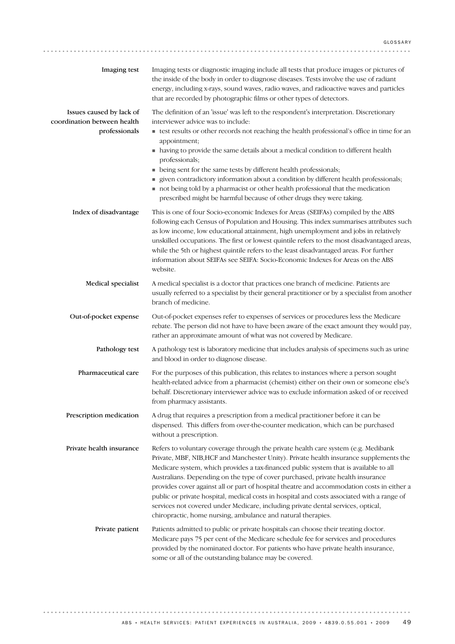| Imaging test                                                             | Imaging tests or diagnostic imaging include all tests that produce images or pictures of<br>the inside of the body in order to diagnose diseases. Tests involve the use of radiant<br>energy, including x-rays, sound waves, radio waves, and radioactive waves and particles<br>that are recorded by photographic films or other types of detectors.                                                                                                                                                                                                                                                                                                                                                    |
|--------------------------------------------------------------------------|----------------------------------------------------------------------------------------------------------------------------------------------------------------------------------------------------------------------------------------------------------------------------------------------------------------------------------------------------------------------------------------------------------------------------------------------------------------------------------------------------------------------------------------------------------------------------------------------------------------------------------------------------------------------------------------------------------|
| Issues caused by lack of<br>coordination between health<br>professionals | The definition of an 'issue' was left to the respondent's interpretation. Discretionary<br>interviewer advice was to include:<br>test results or other records not reaching the health professional's office in time for an                                                                                                                                                                                                                                                                                                                                                                                                                                                                              |
|                                                                          | appointment;<br>• having to provide the same details about a medical condition to different health<br>professionals;                                                                                                                                                                                                                                                                                                                                                                                                                                                                                                                                                                                     |
|                                                                          | being sent for the same tests by different health professionals;<br>given contradictory information about a condition by different health professionals;<br>not being told by a pharmacist or other health professional that the medication<br>prescribed might be harmful because of other drugs they were taking.                                                                                                                                                                                                                                                                                                                                                                                      |
| Index of disadvantage                                                    | This is one of four Socio-economic Indexes for Areas (SEIFAs) compiled by the ABS<br>following each Census of Population and Housing. This index summarises attributes such<br>as low income, low educational attainment, high unemployment and jobs in relatively<br>unskilled occupations. The first or lowest quintile refers to the most disadvantaged areas,<br>while the 5th or highest quintile refers to the least disadvantaged areas. For further<br>information about SEIFAs see SEIFA: Socio-Economic Indexes for Areas on the ABS<br>website.                                                                                                                                               |
| Medical specialist                                                       | A medical specialist is a doctor that practices one branch of medicine. Patients are<br>usually referred to a specialist by their general practitioner or by a specialist from another<br>branch of medicine.                                                                                                                                                                                                                                                                                                                                                                                                                                                                                            |
| Out-of-pocket expense                                                    | Out-of-pocket expenses refer to expenses of services or procedures less the Medicare<br>rebate. The person did not have to have been aware of the exact amount they would pay,<br>rather an approximate amount of what was not covered by Medicare.                                                                                                                                                                                                                                                                                                                                                                                                                                                      |
| Pathology test                                                           | A pathology test is laboratory medicine that includes analysis of specimens such as urine<br>and blood in order to diagnose disease.                                                                                                                                                                                                                                                                                                                                                                                                                                                                                                                                                                     |
| Pharmaceutical care                                                      | For the purposes of this publication, this relates to instances where a person sought<br>health-related advice from a pharmacist (chemist) either on their own or someone else's<br>behalf. Discretionary interviewer advice was to exclude information asked of or received<br>from pharmacy assistants.                                                                                                                                                                                                                                                                                                                                                                                                |
| Prescription medication                                                  | A drug that requires a prescription from a medical practitioner before it can be<br>dispensed. This differs from over-the-counter medication, which can be purchased<br>without a prescription.                                                                                                                                                                                                                                                                                                                                                                                                                                                                                                          |
| Private health insurance                                                 | Refers to voluntary coverage through the private health care system (e.g. Medibank<br>Private, MBF, NIB, HCF and Manchester Unity). Private health insurance supplements the<br>Medicare system, which provides a tax-financed public system that is available to all<br>Australians. Depending on the type of cover purchased, private health insurance<br>provides cover against all or part of hospital theatre and accommodation costs in either a<br>public or private hospital, medical costs in hospital and costs associated with a range of<br>services not covered under Medicare, including private dental services, optical,<br>chiropractic, home nursing, ambulance and natural therapies. |
| Private patient                                                          | Patients admitted to public or private hospitals can choose their treating doctor.<br>Medicare pays 75 per cent of the Medicare schedule fee for services and procedures<br>provided by the nominated doctor. For patients who have private health insurance,<br>some or all of the outstanding balance may be covered.                                                                                                                                                                                                                                                                                                                                                                                  |

. . . . . . . . . . . . . . . . . . . .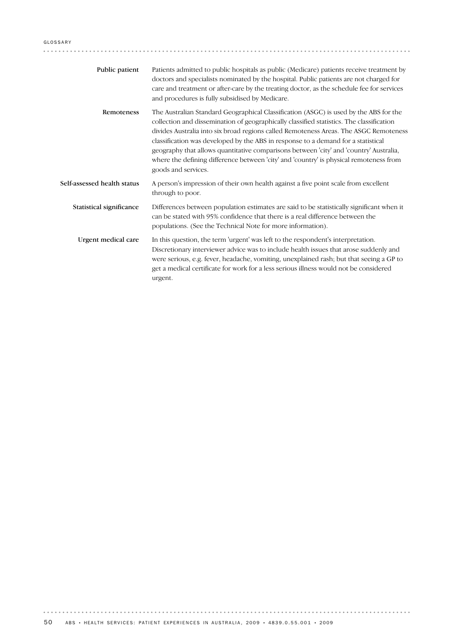| Public patient              | Patients admitted to public hospitals as public (Medicare) patients receive treatment by<br>doctors and specialists nominated by the hospital. Public patients are not charged for<br>care and treatment or after-care by the treating doctor, as the schedule fee for services<br>and procedures is fully subsidised by Medicare.                                                                                                                                                                                                                                         |
|-----------------------------|----------------------------------------------------------------------------------------------------------------------------------------------------------------------------------------------------------------------------------------------------------------------------------------------------------------------------------------------------------------------------------------------------------------------------------------------------------------------------------------------------------------------------------------------------------------------------|
| Remoteness                  | The Australian Standard Geographical Classification (ASGC) is used by the ABS for the<br>collection and dissemination of geographically classified statistics. The classification<br>divides Australia into six broad regions called Remoteness Areas. The ASGC Remoteness<br>classification was developed by the ABS in response to a demand for a statistical<br>geography that allows quantitative comparisons between 'city' and 'country' Australia,<br>where the defining difference between 'city' and 'country' is physical remoteness from<br>goods and services. |
| Self-assessed health status | A person's impression of their own health against a five point scale from excellent<br>through to poor.                                                                                                                                                                                                                                                                                                                                                                                                                                                                    |
| Statistical significance    | Differences between population estimates are said to be statistically significant when it<br>can be stated with 95% confidence that there is a real difference between the<br>populations. (See the Technical Note for more information).                                                                                                                                                                                                                                                                                                                                  |
| Urgent medical care         | In this question, the term 'urgent' was left to the respondent's interpretation.<br>Discretionary interviewer advice was to include health issues that arose suddenly and<br>were serious, e.g. fever, headache, vomiting, unexplained rash; but that seeing a GP to<br>get a medical certificate for work for a less serious illness would not be considered<br>urgent.                                                                                                                                                                                                   |